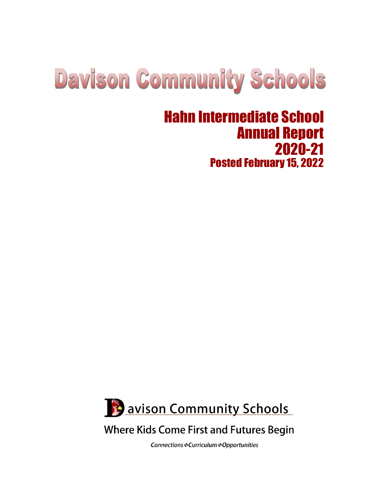# **Davison Community Schools**

# Hahn Intermediate School Annual Report 2020-21 Posted February 15, 2022



# **Where Kids Come First and Futures Begin**

Connections : Curriculum : Opportunities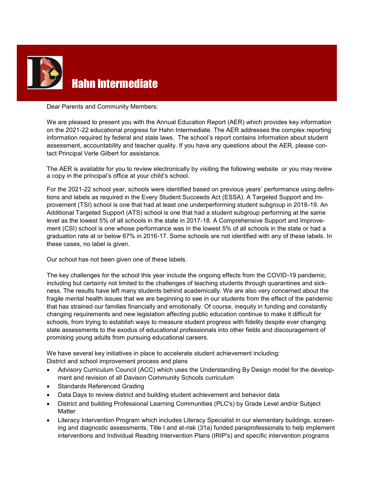

# Hahn Intermediate

Dear Parents and Community Members:

We are pleased to present you with the Annual Education Report (AER) which provides key information on the 2021-22 educational progress for Hahn Intermediate. The AER addresses the complex reporting information required by federal and state laws. The school's report contains information about student assessment, accountability and teacher quality. If you have any questions about the AER, please contact Principal Verle Gilbert for assistance.

The AER is available for you to review electronically by visiting the following website or you may review a copy in the principal's office at your child's school.

For the 2021-22 school year, schools were identified based on previous years' performance using definitions and labels as required in the Every Student Succeeds Act (ESSA). A Targeted Support and Improvement (TSI) school is one that had at least one underperforming student subgroup in 2018-19. An Additional Targeted Support (ATS) school is one that had a student subgroup performing at the same level as the lowest 5% of all schools in the state in 2017-18. A Comprehensive Support and Improvement (CSI) school is one whose performance was in the lowest 5% of all schools in the state or had a graduation rate at or below 67% in 2016-17. Some schools are not identified with any of these labels. In these cases, no label is given.

Our school has not been given one of these labels.

The key challenges for the school this year include the ongoing effects from the COVID-19 pandemic, including but certainly not limited to the challenges of teaching students through quarantines and sickness. The results have left many students behind academically. We are also very concerned about the fragile mental health issues that we are beginning to see in our students from the effect of the pandemic that has strained our families financially and emotionally. Of course, inequity in funding and constantly changing requirements and new legislation affecting public education continue to make it difficult for schools, from trying to establish ways to measure student progress with fidelity despite ever changing state assessments to the exodus of educational professionals into other fields and discouragement of promising young adults from pursuing educational careers.

We have several key initiatives in place to accelerate student achievement including: District and school improvement process and plans

- Advisory Curriculum Council (ACC) which uses the Understanding By Design model for the development and revision of all Davison Community Schools curriculum
- Standards Referenced Grading
- Data Days to review district and building student achievement and behavior data
- District and building Professional Learning Communities (PLC's) by Grade Level and/or Subject **Matter**
- Literacy Intervention Program which includes Literacy Specialist in our elementary buildings, screening and diagnostic assessments, Title I and at-risk (31a) funded paraprofessionals to help implement interventions and Individual Reading Intervention Plans (IRIP's) and specific intervention programs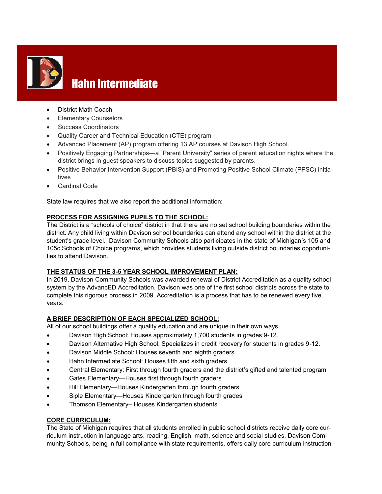

# **Hahn Intermediate**

- District Math Coach
- Elementary Counselors
- Success Coordinators
- Quality Career and Technical Education (CTE) program
- Advanced Placement (AP) program offering 13 AP courses at Davison High School.
- Positively Engaging Partnerships—a "Parent University" series of parent education nights where the district brings in guest speakers to discuss topics suggested by parents.
- Positive Behavior Intervention Support (PBIS) and Promoting Positive School Climate (PPSC) initiatives
- Cardinal Code

State law requires that we also report the additional information:

#### **PROCESS FOR ASSIGNING PUPILS TO THE SCHOOL:**

The District is a "schools of choice" district in that there are no set school building boundaries within the district. Any child living within Davison school boundaries can attend any school within the district at the student's grade level. Davison Community Schools also participates in the state of Michigan's 105 and 105c Schools of Choice programs, which provides students living outside district boundaries opportunities to attend Davison.

#### **THE STATUS OF THE 3-5 YEAR SCHOOL IMPROVEMENT PLAN:**

In 2019, Davison Community Schools was awarded renewal of District Accreditation as a quality school system by the AdvancED Accreditation. Davison was one of the first school districts across the state to complete this rigorous process in 2009. Accreditation is a process that has to be renewed every five years.

#### **A BRIEF DESCRIPTION OF EACH SPECIALIZED SCHOOL:**

All of our school buildings offer a quality education and are unique in their own ways.

- Davison High School: Houses approximately 1,700 students in grades 9-12.
- Davison Alternative High School: Specializes in credit recovery for students in grades 9-12.
- Davison Middle School: Houses seventh and eighth graders.
- Hahn Intermediate School: Houses fifth and sixth graders
- Central Elementary: First through fourth graders and the district's gifted and talented program
- Gates Elementary—Houses first through fourth graders
- Hill Elementary—Houses Kindergarten through fourth graders
- Siple Elementary—Houses Kindergarten through fourth grades
- Thomson Elementary– Houses Kindergarten students

#### **CORE CURRICULUM:**

The State of Michigan requires that all students enrolled in public school districts receive daily core curriculum instruction in language arts, reading, English, math, science and social studies. Davison Community Schools, being in full compliance with state requirements, offers daily core curriculum instruction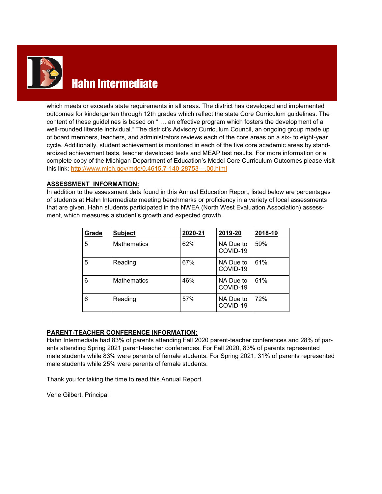

# Hahn Intermediate

which meets or exceeds state requirements in all areas. The district has developed and implemented outcomes for kindergarten through 12th grades which reflect the state Core Curriculum guidelines. The content of these guidelines is based on " … an effective program which fosters the development of a well-rounded literate individual." The district's Advisory Curriculum Council, an ongoing group made up of board members, teachers, and administrators reviews each of the core areas on a six- to eight-year cycle. Additionally, student achievement is monitored in each of the five core academic areas by standardized achievement tests, teacher developed tests and MEAP test results. For more information or a complete copy of the Michigan Department of Education's Model Core Curriculum Outcomes please visit this link: [http://www.mich.gov/mde/0,4615,7](http://www.mich.gov/mde/0,4615,7-140-28753---,00.html)-140-28753---,00.html

#### **ASSESSMENT INFORMATION:**

In addition to the assessment data found in this Annual Education Report, listed below are percentages of students at Hahn Intermediate meeting benchmarks or proficiency in a variety of local assessments that are given. Hahn students participated in the NWEA (North West Evaluation Association) assessment, which measures a student's growth and expected growth.

| Grade | <b>Subject</b>     | 2020-21 | 2019-20               | 2018-19 |
|-------|--------------------|---------|-----------------------|---------|
| 5     | <b>Mathematics</b> | 62%     | NA Due to<br>COVID-19 | 59%     |
| 5     | Reading            | 67%     | NA Due to<br>COVID-19 | 61%     |
| 6     | <b>Mathematics</b> | 46%     | NA Due to<br>COVID-19 | 61%     |
| 6     | Reading            | 57%     | NA Due to<br>COVID-19 | 72%     |

#### **PARENT-TEACHER CONFERENCE INFORMATION:**

Hahn Intermediate had 83% of parents attending Fall 2020 parent-teacher conferences and 28% of parents attending Spring 2021 parent-teacher conferences. For Fall 2020, 83% of parents represented male students while 83% were parents of female students. For Spring 2021, 31% of parents represented male students while 25% were parents of female students.

Thank you for taking the time to read this Annual Report.

Verle Gilbert, Principal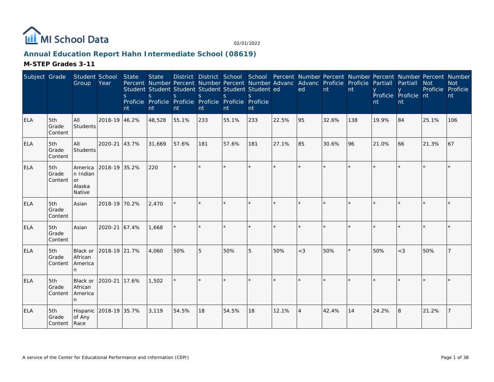

# **Annual Education Report Hahn Intermediate School (08619)**

| Subject Grade |                          | Student School<br>Group                       | Year          | <b>State</b><br>S<br>nt | <b>State</b><br>Percent Number Percent Number Percent Number Advanc Advanc Proficie Proficie<br>Student Student Student Student Student Student ed<br><sub>S</sub><br>Proficie Proficie Proficie Proficie Proficie Proficie<br>nt | S<br>nt | <sub>S</sub><br>nt | $\mathcal{S}$<br>nt | $\mathcal{S}$<br>nt |         | ed             | nt    | nt  | Partiall<br>nt | District District School School Percent Number Percent Number Percent Number Percent Number<br>Partiall<br>Proficie Proficie nt<br>nt | <b>Not</b><br>Proficie Proficie | <b>Not</b><br>nt |
|---------------|--------------------------|-----------------------------------------------|---------------|-------------------------|-----------------------------------------------------------------------------------------------------------------------------------------------------------------------------------------------------------------------------------|---------|--------------------|---------------------|---------------------|---------|----------------|-------|-----|----------------|---------------------------------------------------------------------------------------------------------------------------------------|---------------------------------|------------------|
| <b>ELA</b>    | 5th<br>Grade<br>Content  | All<br>Students                               | 2018-19 46.2% |                         | 48,528                                                                                                                                                                                                                            | 55.1%   | 233                | 55.1%               | 233                 | 22.5%   | 95             | 32.6% | 138 | 19.9%          | 84                                                                                                                                    | 25.1%                           | 106              |
| ELA           | 5th<br>Grade<br> Content | All<br>Students                               | 2020-21 43.7% |                         | 31,669                                                                                                                                                                                                                            | 57.6%   | 181                | 57.6%               | 181                 | 27.1%   | 85             | 30.6% | 96  | 21.0%          | 66                                                                                                                                    | 21.3%                           | 67               |
| <b>ELA</b>    | 5th<br>Grade<br>Content  | America<br>n Indian<br>or<br>Alaska<br>Native | 2018-19 35.2% |                         | 220                                                                                                                                                                                                                               | $\star$ |                    |                     | $\star$             | $\star$ | $\star$        |       |     |                |                                                                                                                                       |                                 |                  |
| <b>ELA</b>    | 5th<br>Grade<br>Content  | Asian                                         | 2018-19 70.2% |                         | 2,470                                                                                                                                                                                                                             |         |                    |                     |                     |         |                |       |     |                |                                                                                                                                       |                                 |                  |
| <b>ELA</b>    | 5th<br>Grade<br>Content  | Asian                                         | 2020-21 67.4% |                         | 1.668                                                                                                                                                                                                                             |         |                    |                     |                     |         |                |       |     |                |                                                                                                                                       |                                 |                  |
| <b>ELA</b>    | 5th<br>Grade<br>Content  | Black or<br>African<br>America<br>n.          | 2018-19 21.7% |                         | 4,060                                                                                                                                                                                                                             | 50%     | 5                  | 50%                 | 5                   | 50%     | $<$ 3          | 50%   |     | 50%            | $<$ 3                                                                                                                                 | 50%                             |                  |
| <b>ELA</b>    | 5th<br>Grade<br>Content  | Black or<br>African<br>America                | 2020-21       | 17.6%                   | 1,502                                                                                                                                                                                                                             |         |                    |                     |                     | $\star$ |                |       |     |                |                                                                                                                                       |                                 |                  |
| <b>ELA</b>    | 5th<br>Grade<br>Content  | Hispanic 2018-19 35.7%<br>of Any<br>Race      |               |                         | 3.119                                                                                                                                                                                                                             | 54.5%   | 18                 | 54.5%               | 18                  | 12.1%   | $\overline{4}$ | 42.4% | 14  | 24.2%          | l8                                                                                                                                    | 21.2%                           |                  |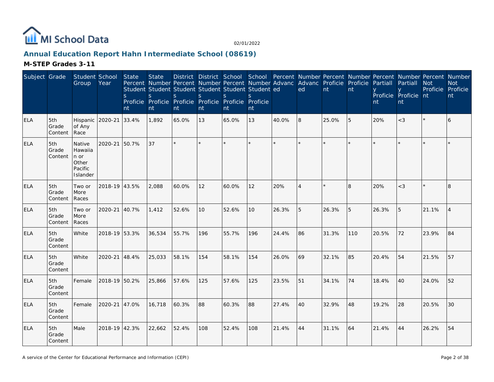

# **Annual Education Report Hahn Intermediate School (08619)**

| Subject Grade |                         | Student School<br>Group                                               | Year          | <b>State</b><br><sub>S</sub><br>nt | <b>State</b><br><sub>S</sub><br>nt | S.<br>nt | $\mathsf{S}$<br>nt | District District School School Percent Number Percent Number Percent Number Percent Number<br>Percent Number Percent Number Percent Number Advanc Advanc Proficie Proficie<br>Student Student Student Student Student Student ed<br><sub>S</sub><br>Proficie Proficie Proficie Proficie Proficie Proficie<br>nt | <sub>S</sub><br>nt |       | ed       | $\mathsf{nt}$ | nt  | Partiall<br>nt | Partiall<br>Proficie Proficie nt<br>nt | <b>Not</b><br>Proficie Proficie | <b>Not</b><br>nt |
|---------------|-------------------------|-----------------------------------------------------------------------|---------------|------------------------------------|------------------------------------|----------|--------------------|------------------------------------------------------------------------------------------------------------------------------------------------------------------------------------------------------------------------------------------------------------------------------------------------------------------|--------------------|-------|----------|---------------|-----|----------------|----------------------------------------|---------------------------------|------------------|
| <b>ELA</b>    | 5th<br>Grade<br>Content | Hispanic<br>of Any<br>Race                                            | 2020-21       | 33.4%                              | 1,892                              | 65.0%    | 13                 | 65.0%                                                                                                                                                                                                                                                                                                            | 13                 | 40.0% | 8        | 25.0%         | 5   | 20%            | $<$ 3                                  |                                 | 6                |
| <b>ELA</b>    | 5th<br>Grade<br>Content | Native<br>Hawaiia<br>$ n \text{ or }$<br>Other<br>Pacific<br>Islander | 2020-21       | 50.7%                              | 37                                 | $\star$  |                    |                                                                                                                                                                                                                                                                                                                  | $\star$            |       |          |               |     |                |                                        |                                 |                  |
| <b>ELA</b>    | 5th<br>Grade<br>Content | Two or<br>More<br>Races                                               | 2018-19 43.5% |                                    | 2,088                              | 60.0%    | 12                 | 60.0%                                                                                                                                                                                                                                                                                                            | 12                 | 20%   | $\Delta$ |               | 8   | 20%            | $<$ 3                                  |                                 | 8                |
| <b>ELA</b>    | 5th<br>Grade<br>Content | Two or<br>More<br>Races                                               | 2020-21 40.7% |                                    | 1,412                              | 52.6%    | 10                 | 52.6%                                                                                                                                                                                                                                                                                                            | 10 <sup>1</sup>    | 26.3% | 5        | 26.3%         | 5   | 26.3%          | 5                                      | 21.1%                           | $\overline{4}$   |
| <b>ELA</b>    | 5th<br>Grade<br>Content | White                                                                 | 2018-19 53.3% |                                    | 36,534                             | 55.7%    | 196                | 55.7%                                                                                                                                                                                                                                                                                                            | 196                | 24.4% | 86       | 31.3%         | 110 | 20.5%          | 72                                     | 23.9%                           | 84               |
| <b>ELA</b>    | 5th<br>Grade<br>Content | White                                                                 | 2020-21 48.4% |                                    | 25,033                             | 58.1%    | 154                | 58.1%                                                                                                                                                                                                                                                                                                            | 154                | 26.0% | 69       | 32.1%         | 85  | 20.4%          | 54                                     | 21.5%                           | 57               |
| <b>ELA</b>    | 5th<br>Grade<br>Content | Female                                                                | 2018-19 50.2% |                                    | 25,866                             | 57.6%    | 125                | 57.6%                                                                                                                                                                                                                                                                                                            | 125                | 23.5% | 51       | 34.1%         | 74  | 18.4%          | 40                                     | 24.0%                           | 52               |
| <b>ELA</b>    | 5th<br>Grade<br>Content | Female                                                                | 2020-21 47.0% |                                    | 16,718                             | 60.3%    | 88                 | 60.3%                                                                                                                                                                                                                                                                                                            | 88                 | 27.4% | 40       | 32.9%         | 48  | 19.2%          | 28                                     | 20.5%                           | 30               |
| <b>ELA</b>    | 5th<br>Grade<br>Content | Male                                                                  | 2018-19 42.3% |                                    | 22,662                             | 52.4%    | 108                | 52.4%                                                                                                                                                                                                                                                                                                            | 108                | 21.4% | 44       | 31.1%         | 64  | 21.4%          | 44                                     | 26.2%                           | 54               |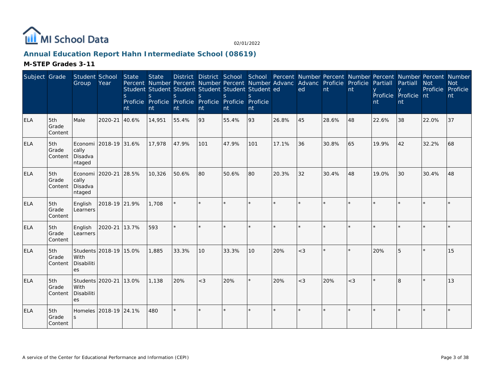

# **Annual Education Report Hahn Intermediate School (08619)**

| Subject Grade |                         | Student School<br>Group                       | Year                   | <b>State</b><br><sub>S</sub><br>nt | <b>State</b><br>$\mathsf{S}$<br>nt | District District School School Percent Number Percent Number Percent Number Percent Number<br>Percent Number Percent Number Percent Number Advanc Advanc Proficie Proficie<br>Student Student Student Student Student Student ed<br>S.<br>Proficie Proficie Proficie Proficie Proficie Proficie<br>nt | <sub>S</sub><br>nt | <sub>S</sub><br>nt | <sub>S</sub><br>nt |         | ed      | nt    | nt    | Partiall<br>nt | Partiall<br>Proficie Proficie nt<br>nt | <b>Not</b><br>Proficie Proficie | <b>Not</b><br>nt |
|---------------|-------------------------|-----------------------------------------------|------------------------|------------------------------------|------------------------------------|--------------------------------------------------------------------------------------------------------------------------------------------------------------------------------------------------------------------------------------------------------------------------------------------------------|--------------------|--------------------|--------------------|---------|---------|-------|-------|----------------|----------------------------------------|---------------------------------|------------------|
| <b>ELA</b>    | 5th<br>Grade<br>Content | Male                                          | 2020-21                | 40.6%                              | 14,951                             | 55.4%                                                                                                                                                                                                                                                                                                  | 93                 | 55.4%              | 93                 | 26.8%   | 45      | 28.6% | 48    | 22.6%          | 38                                     | 22.0%                           | 37               |
| <b>ELA</b>    | 5th<br>Grade<br>Content | cally<br>Disadva<br>ntaged                    | Economi 2018-19 31.6%  |                                    | 17,978                             | 47.9%                                                                                                                                                                                                                                                                                                  | 101                | 47.9%              | 101                | 17.1%   | 36      | 30.8% | 65    | 19.9%          | 42                                     | 32.2%                           | 68               |
| <b>ELA</b>    | 5th<br>Grade<br>Content | Economi 2020-21<br>cally<br>Disadva<br>ntaged |                        | 28.5%                              | 10,326                             | 50.6%                                                                                                                                                                                                                                                                                                  | 80                 | 50.6%              | 80 l               | 20.3%   | 32      | 30.4% | 48    | 19.0%          | 30                                     | 30.4%                           | 48               |
| <b>ELA</b>    | 5th<br>Grade<br>Content | English<br>Learners                           | 2018-19 21.9%          |                                    | 1.708                              | $\star$                                                                                                                                                                                                                                                                                                |                    |                    | k.                 |         |         |       |       |                |                                        |                                 |                  |
| <b>ELA</b>    | 5th<br>Grade<br>Content | English<br>Learners                           | 2020-21                | 13.7%                              | 593                                |                                                                                                                                                                                                                                                                                                        |                    |                    |                    |         |         |       |       |                |                                        |                                 |                  |
| <b>ELA</b>    | 5th<br>Grade<br>Content | With<br>Disabiliti<br>es                      | Students 2018-19 15.0% |                                    | 1,885                              | 33.3%                                                                                                                                                                                                                                                                                                  | 10                 | 33.3%              | 10                 | 20%     | $<$ 3   |       |       | 20%            | 5                                      |                                 | 15               |
| <b>ELA</b>    | 5th<br>Grade<br>Content | Students 2020-21<br>With<br>Disabiliti<br>es  |                        | 13.0%                              | 1,138                              | 20%                                                                                                                                                                                                                                                                                                    | $<$ 3              | 20%                | ×.                 | 20%     | $<$ 3   | 20%   | $<$ 3 |                | $\mathsf{R}$                           |                                 | 13               |
| <b>ELA</b>    | 5th<br>Grade<br>Content |                                               | Homeles 2018-19 24.1%  |                                    | 480                                | $\star$                                                                                                                                                                                                                                                                                                |                    |                    | $\star$            | $\star$ | $\star$ |       |       |                |                                        |                                 |                  |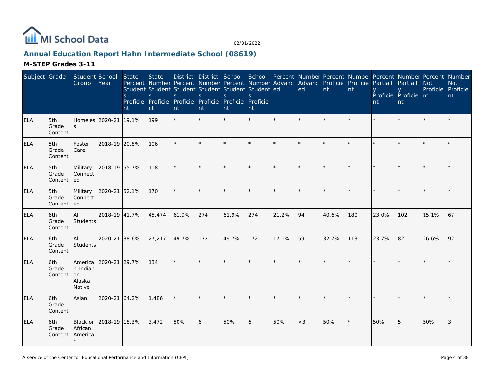

# **Annual Education Report Hahn Intermediate School (08619)**

| Subject Grade |                         | Student School<br>Group                       | Year          | State<br><sub>S</sub><br>nt | <b>State</b><br>Percent Number Percent Number Percent Number Advanc Advanc Proficie Proficie<br>Student Student Student Student Student Student ed<br>S<br>Proficie Proficie Proficie Proficie Proficie Proficie<br>nt | District District School School Percent Number Percent Number Percent Number Percent Number<br><sub>S</sub><br>nt | S<br>nt | <sub>S</sub><br>nt | <sub>S</sub><br>nt |       | ed    | nt    | nt      | Partiall<br>nt | Partiall<br>Proficie Proficie nt<br>nt | <b>Not</b><br>Proficie Proficie | <b>Not</b><br>nt |
|---------------|-------------------------|-----------------------------------------------|---------------|-----------------------------|------------------------------------------------------------------------------------------------------------------------------------------------------------------------------------------------------------------------|-------------------------------------------------------------------------------------------------------------------|---------|--------------------|--------------------|-------|-------|-------|---------|----------------|----------------------------------------|---------------------------------|------------------|
| <b>ELA</b>    | 5th<br>Grade<br>Content | Homeles<br>S                                  | 2020-21       | 19.1%                       | 199                                                                                                                                                                                                                    |                                                                                                                   |         |                    |                    |       |       |       |         |                |                                        |                                 |                  |
| ELA           | 5th<br>Grade<br>Content | Foster<br>Care                                | 2018-19 20.8% |                             | 106                                                                                                                                                                                                                    | $\star$                                                                                                           |         |                    | $\star$            |       |       |       |         |                |                                        |                                 |                  |
| <b>ELA</b>    | 5th<br>Grade<br>Content | Military<br>Connect<br>led                    | 2018-19 55.7% |                             | 118                                                                                                                                                                                                                    | $\star$                                                                                                           |         |                    | $\star$            |       |       |       |         |                |                                        |                                 |                  |
| <b>ELA</b>    | 5th<br>Grade<br>Content | Military<br>Connect<br>led                    | 2020-21       | 52.1%                       | 170                                                                                                                                                                                                                    | $\star$                                                                                                           |         |                    |                    |       |       |       |         |                |                                        |                                 |                  |
| <b>ELA</b>    | 6th<br>Grade<br>Content | All<br>Students                               | 2018-19 41.7% |                             | 45,474                                                                                                                                                                                                                 | 61.9%                                                                                                             | 274     | 61.9%              | 274                | 21.2% | 94    | 40.6% | 180     | 23.0%          | 102                                    | 15.1%                           | 67               |
| ELA           | 6th<br>Grade<br>Content | All<br>Students                               | 2020-21       | 38.6%                       | 27,217                                                                                                                                                                                                                 | 49.7%                                                                                                             | 172     | 49.7%              | 172                | 17.1% | 59    | 32.7% | 113     | 23.7%          | 82                                     | 26.6%                           | 92               |
| <b>ELA</b>    | 6th<br>Grade<br>Content | America<br>n Indian<br>or<br>Alaska<br>Native | 2020-21       | 29.7%                       | 134                                                                                                                                                                                                                    | $\star$                                                                                                           |         |                    | $\star$            |       |       |       |         |                |                                        |                                 |                  |
| <b>ELA</b>    | 6th<br>Grade<br>Content | Asian                                         | 2020-21       | 64.2%                       | 1,486                                                                                                                                                                                                                  |                                                                                                                   |         |                    | ¥                  |       |       |       |         |                |                                        |                                 |                  |
| <b>ELA</b>    | 6th<br>Grade<br>Content | Black or<br>African<br>America<br>n           | 2018-19 18.3% |                             | 3,472                                                                                                                                                                                                                  | 50%                                                                                                               | 6       | 50%                | 6                  | 50%   | $<$ 3 | 50%   | $\star$ | 50%            | 5                                      | 50%                             | 3                |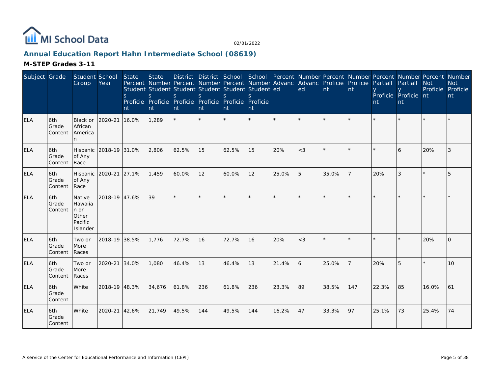

# **Annual Education Report Hahn Intermediate School (08619)**

| Subject Grade |                         | Student School<br>Group                                   | Year                   | <b>State</b><br>S<br>nt | <b>State</b><br>$\mathsf{S}$<br>nt | Percent Number Percent Number Percent Number Advanc Advanc Proficie Proficie<br>Student Student Student Student Student Student ed<br>S<br>Proficie Proficie Proficie Proficie Proficie Proficie<br>nt | $\mathsf{S}$<br>nt | $\mathsf{S}$<br>Int | $\mathbf{S}$<br>nt |         | ed      | nt    | nt  | Partiall<br>nt | District District School School Percent Number Percent Number Percent Number Percent Number<br>Partiall<br>Proficie Proficie nt<br>nt | <b>Not</b><br>Proficie | <b>Not</b><br>Proficie<br>nt |
|---------------|-------------------------|-----------------------------------------------------------|------------------------|-------------------------|------------------------------------|--------------------------------------------------------------------------------------------------------------------------------------------------------------------------------------------------------|--------------------|---------------------|--------------------|---------|---------|-------|-----|----------------|---------------------------------------------------------------------------------------------------------------------------------------|------------------------|------------------------------|
| <b>ELA</b>    | 6th<br>Grade<br>Content | Black or<br>African<br>America                            | 2020-21                | 16.0%                   | 1,289                              | $\star$                                                                                                                                                                                                |                    |                     | $\star$            | $\star$ | $\star$ |       |     |                |                                                                                                                                       |                        |                              |
| <b>ELA</b>    | 6th<br>Grade<br>Content | of Any<br>Race                                            | Hispanic 2018-19 31.0% |                         | 2,806                              | 62.5%                                                                                                                                                                                                  | 15                 | 62.5%               | 15                 | 20%     | $<$ 3   |       |     |                | 6                                                                                                                                     | 20%                    | 3                            |
| <b>ELA</b>    | 6th<br>Grade<br>Content | of Any<br>Race                                            | Hispanic 2020-21 27.1% |                         | 1,459                              | 60.0%                                                                                                                                                                                                  | 12                 | 60.0%               | 12                 | 25.0%   | 5       | 35.0% |     | 20%            | 3                                                                                                                                     |                        | 5                            |
| <b>ELA</b>    | 6th<br>Grade<br>Content | Native<br>Hawaiia<br>n or<br>Other<br>Pacific<br>Islander | 2018-19 47.6%          |                         | 39                                 | $\star$                                                                                                                                                                                                |                    |                     | ×.                 |         |         |       |     |                |                                                                                                                                       |                        |                              |
| <b>ELA</b>    | 6th<br>Grade<br>Content | Two or<br>More<br>Races                                   | 2018-19 38.5%          |                         | 1.776                              | 72.7%                                                                                                                                                                                                  | 16                 | 72.7%               | 16                 | 20%     | $<$ 3   |       |     |                |                                                                                                                                       | 20%                    | $\Omega$                     |
| <b>ELA</b>    | 6th<br>Grade<br>Content | Two or<br>More<br>Races                                   | 2020-21                | 34.0%                   | 1,080                              | 46.4%                                                                                                                                                                                                  | 13                 | 46.4%               | 13                 | 21.4%   | 6       | 25.0% |     | 20%            |                                                                                                                                       |                        | 10                           |
| <b>ELA</b>    | 6th<br>Grade<br>Content | White                                                     | 2018-19 48.3%          |                         | 34,676                             | 61.8%                                                                                                                                                                                                  | 236                | 61.8%               | 236                | 23.3%   | 89      | 38.5% | 147 | 22.3%          | 85                                                                                                                                    | 16.0%                  | 61                           |
| <b>ELA</b>    | 6th<br>Grade<br>Content | White                                                     | 2020-21                | 42.6%                   | 21,749                             | 49.5%                                                                                                                                                                                                  | 144                | 49.5%               | 144                | 16.2%   | 47      | 33.3% | 97  | 25.1%          | 73                                                                                                                                    | 25.4%                  | 74                           |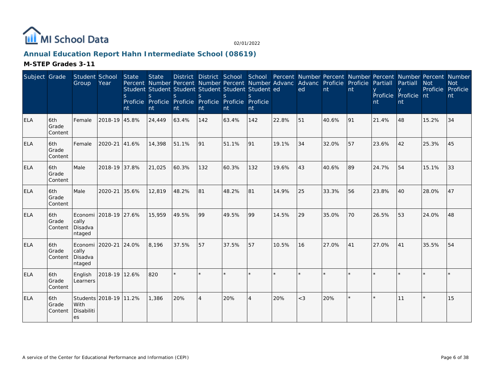

# **Annual Education Report Hahn Intermediate School (08619)**

| Subject Grade |                          | Student School<br>Group                             | Year                   | <b>State</b><br>$\mathsf{S}$<br>nt | <b>State</b><br><sub>S</sub><br>Proficie Proficie Proficie<br>nt | Percent Number Percent Number Percent Number Advanc Advanc Proficie Proficie<br>Student Student Student Student Student Student ed<br>S.<br>nt | <sub>S</sub><br>nt | $\mathsf{S}$<br>Proficie Proficie Proficie<br>nt | nt  |               | ed      | nt    | nt | Partiall<br>nt | District District School School Percent Number Percent Number Percent Number Percent Number<br>Partiall<br>Proficie Proficie nt<br>nt | <b>Not</b><br>Proficie Proficie | <b>Not</b><br>nt |
|---------------|--------------------------|-----------------------------------------------------|------------------------|------------------------------------|------------------------------------------------------------------|------------------------------------------------------------------------------------------------------------------------------------------------|--------------------|--------------------------------------------------|-----|---------------|---------|-------|----|----------------|---------------------------------------------------------------------------------------------------------------------------------------|---------------------------------|------------------|
| <b>ELA</b>    | 6th<br>Grade<br>Content  | Female                                              | 2018-19 45.8%          |                                    | 24,449                                                           | 63.4%                                                                                                                                          | 142                | 63.4%                                            | 142 | 22.8%         | 51      | 40.6% | 91 | 21.4%          | 48                                                                                                                                    | 15.2%                           | 34               |
| <b>ELA</b>    | 6th<br>Grade<br>Content  | Female                                              | 2020-21 41.6%          |                                    | 14,398                                                           | 51.1%                                                                                                                                          | 91                 | 51.1%                                            | 91  | 19.1%         | 34      | 32.0% | 57 | 23.6%          | 42                                                                                                                                    | 25.3%                           | 45               |
| <b>ELA</b>    | 6th<br>Grade<br>Content  | Male                                                | 2018-19 37.8%          |                                    | 21,025                                                           | 60.3%                                                                                                                                          | 132                | 60.3%                                            | 132 | 19.6%         | 43      | 40.6% | 89 | 24.7%          | 54                                                                                                                                    | 15.1%                           | 33               |
| <b>ELA</b>    | 6th<br>Grade<br> Content | Male                                                | 2020-21 35.6%          |                                    | 12,819                                                           | 48.2%                                                                                                                                          | 81                 | 48.2%                                            | 81  | 14.9%         | 25      | 33.3% | 56 | 23.8%          | 40                                                                                                                                    | 28.0%                           | 47               |
| <b>ELA</b>    | 6th<br>Grade<br>Content  | Economi 2018-19 27.6%<br>cally<br>Disadva<br>ntaged |                        |                                    | 15,959                                                           | 49.5%                                                                                                                                          | 99                 | 49.5%                                            | 99  | 14.5%         | 29      | 35.0% | 70 | 26.5%          | 53                                                                                                                                    | 24.0%                           | 48               |
| <b>ELA</b>    | 6th<br>Grade<br>Content  | Economi   2020-21<br>cally<br>Disadva<br>ntaged     |                        | 24.0%                              | 8,196                                                            | 37.5%                                                                                                                                          | 57                 | 37.5%                                            | 57  | 10.5%         | 16      | 27.0% | 41 | 27.0%          | 41                                                                                                                                    | 35.5%                           | 54               |
| <b>ELA</b>    | 6th<br>Grade<br>Content  | English<br>Learners                                 | 2018-19 12.6%          |                                    | 820                                                              | $\star$                                                                                                                                        |                    |                                                  | ×.  | $\frac{1}{2}$ | $\star$ |       |    |                |                                                                                                                                       |                                 |                  |
| <b>ELA</b>    | 6th<br>Grade<br>Content  | With<br>Disabiliti<br>les                           | Students 2018-19 11.2% |                                    | 1.386                                                            | 20%                                                                                                                                            | $\overline{4}$     | 20%                                              | 4   | 20%           | $<$ 3   | 20%   |    |                | 11                                                                                                                                    |                                 | 15               |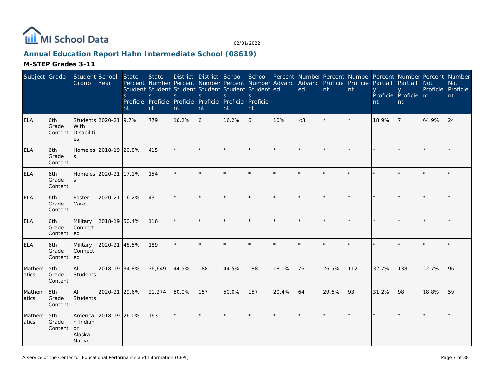

# **Annual Education Report Hahn Intermediate School (08619)**

| Subject Grade   |                         | Student School<br>Group                       | Year                  | <b>State</b><br><sub>S</sub><br>nt | <b>State</b><br>Percent Number Percent Number Percent Number Advanc Advanc Proficie Proficie<br>Student Student Student Student Student Student ed<br>S.<br>Proficie Proficie Proficie Proficie Proficie Proficie<br>nt | S.<br>nt | $\mathsf{S}$<br>nt | $\mathsf{S}$<br>Int | S<br>nt |         | ed      | $\overline{nt}$ | nt  | Partiall<br>nt | District District School School Percent Number Percent Number Percent Number Percent Number<br>Partiall<br>Proficie Proficie nt<br>nt | <b>Not</b><br>Proficie Proficie | <b>Not</b><br>nt |
|-----------------|-------------------------|-----------------------------------------------|-----------------------|------------------------------------|-------------------------------------------------------------------------------------------------------------------------------------------------------------------------------------------------------------------------|----------|--------------------|---------------------|---------|---------|---------|-----------------|-----|----------------|---------------------------------------------------------------------------------------------------------------------------------------|---------------------------------|------------------|
| <b>ELA</b>      | 6th<br>Grade<br>Content | Students 2020-21<br>With<br>Disabiliti<br>es  |                       | 9.7%                               | 779                                                                                                                                                                                                                     | 16.2%    | 6                  | 16.2%               | 6       | 10%     | $<$ 3   |                 |     | 18.9%          |                                                                                                                                       | 64.9%                           | 24               |
| <b>ELA</b>      | 6th<br>Grade<br>Content |                                               | Homeles 2018-19 20.8% |                                    | 415                                                                                                                                                                                                                     |          |                    |                     |         |         |         |                 |     |                |                                                                                                                                       |                                 |                  |
| <b>ELA</b>      | 6th<br>Grade<br>Content | Homeles 2020-21                               |                       | 17.1%                              | 154                                                                                                                                                                                                                     | $\star$  | $\star$            |                     | $\star$ | $\star$ | $\star$ |                 |     |                |                                                                                                                                       |                                 |                  |
| <b>ELA</b>      | 6th<br>Grade<br>Content | Foster<br>Care                                | 2020-21               | 16.2%                              | 43                                                                                                                                                                                                                      | $\star$  |                    |                     | $\star$ |         | $\star$ |                 |     |                |                                                                                                                                       |                                 |                  |
| <b>ELA</b>      | 6th<br>Grade<br>Content | Military<br>Connect<br>led                    | 2018-19 50.4%         |                                    | 116                                                                                                                                                                                                                     | $\star$  |                    |                     | $\star$ |         | $\star$ |                 |     |                |                                                                                                                                       |                                 |                  |
| <b>ELA</b>      | 6th<br>Grade<br>Content | Military<br>Connect<br>led                    | 2020-21 48.5%         |                                    | 189                                                                                                                                                                                                                     | $\star$  |                    |                     |         |         |         |                 |     |                |                                                                                                                                       |                                 |                  |
| Mathem<br>atics | 5th<br>Grade<br>Content | All<br>Students                               | 2018-19 34.8%         |                                    | 36,649                                                                                                                                                                                                                  | 44.5%    | 188                | 44.5%               | 188     | 18.0%   | 76      | 26.5%           | 112 | 32.7%          | 138                                                                                                                                   | 22.7%                           | 96               |
| Mathem<br>atics | 5th<br>Grade<br>Content | All<br>Students                               | 2020-21 29.6%         |                                    | 21,274                                                                                                                                                                                                                  | 50.0%    | 157                | 50.0%               | 157     | 20.4%   | 64      | 29.6%           | 93  | 31.2%          | 98                                                                                                                                    | 18.8%                           | 59               |
| Mathem<br>atics | 5th<br>Grade<br>Content | America<br>n Indian<br>or<br>Alaska<br>Native | 2018-19 26.0%         |                                    | 163                                                                                                                                                                                                                     | $\star$  |                    |                     | $\star$ |         | $\star$ |                 |     |                |                                                                                                                                       |                                 |                  |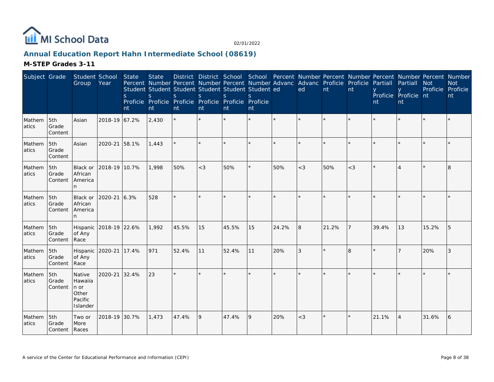

# **Annual Education Report Hahn Intermediate School (08619)**

| Subject Grade    |                                 | Student School<br>Group                                   | Year                   | State<br><sub>S</sub><br>nt | <b>State</b><br><sub>S</sub><br>nt | Percent Number Percent Number Percent Number Advanc Advanc Proficie Proficie<br>Student Student Student Student Student Student ed<br>S.<br>Proficie Proficie Proficie Proficie Proficie Proficie<br>nt | $\mathcal{S}$<br>nt | $\mathcal{S}$<br>nt | $\mathcal{S}_{\mathcal{S}}$<br>nt |         | District District School School Percent Number Percent Number Percent Number Percent Number<br>ed | nt    | nt    | Partiall<br>nt | Partiall<br>Proficie Proficie nt<br>nt | <b>Not</b><br>Proficie Proficie | <b>Not</b><br>nt |
|------------------|---------------------------------|-----------------------------------------------------------|------------------------|-----------------------------|------------------------------------|---------------------------------------------------------------------------------------------------------------------------------------------------------------------------------------------------------|---------------------|---------------------|-----------------------------------|---------|---------------------------------------------------------------------------------------------------|-------|-------|----------------|----------------------------------------|---------------------------------|------------------|
| Mathem<br>atics  | 5th<br>Grade<br>Content         | Asian                                                     | 2018-19 67.2%          |                             | 2,430                              | $\star$                                                                                                                                                                                                 | ×.                  |                     | $\star$                           | $\star$ | $\star$                                                                                           |       |       |                |                                        |                                 |                  |
| Mathem<br>atics  | 5th<br>Grade<br>Content         | Asian                                                     | 2020-21                | 58.1%                       | 1,443                              |                                                                                                                                                                                                         |                     |                     |                                   |         |                                                                                                   |       |       |                |                                        |                                 |                  |
| Mathem<br>atics  | 5th<br>Grade<br>Content         | Black or<br>African<br>America<br>n                       | 2018-19 10.7%          |                             | 1.998                              | 50%                                                                                                                                                                                                     | $<$ 3               | 50%                 | ¥.                                | 50%     | $<$ 3                                                                                             | 50%   | $<$ 3 |                |                                        |                                 | 8                |
| Mathem<br>atics  | 5th<br>Grade<br>Content         | Black or<br>African<br>America<br>n.                      | 2020-21                | 6.3%                        | 528                                | ÷.                                                                                                                                                                                                      |                     |                     |                                   |         |                                                                                                   |       |       |                |                                        |                                 |                  |
| Mathem<br>latics | 5th<br>Grade<br>Content         | of Any<br>Race                                            | Hispanic 2018-19 22.6% |                             | 1,992                              | 45.5%                                                                                                                                                                                                   | 15                  | 45.5%               | 15                                | 24.2%   | 8                                                                                                 | 21.2% | 7     | 39.4%          | 13                                     | 15.2%                           | 5                |
| Mathem<br>atics  | 5th<br>Grade<br>Content         | Hispanic<br>of Any<br>Race                                | 2020-21                | 17.4%                       | 971                                | 52.4%                                                                                                                                                                                                   | 11                  | 52.4%               | 11                                | 20%     | 3                                                                                                 |       | 8     |                |                                        | 20%                             | 3                |
| Mathem<br>atics  | 5th<br>Grade<br>Content         | Native<br>Hawaiia<br>n or<br>Other<br>Pacific<br>Islander | 2020-21                | 32.4%                       | 23                                 | $\star$                                                                                                                                                                                                 |                     |                     | $\star$                           |         |                                                                                                   |       |       |                |                                        |                                 |                  |
| Mathem<br>atics  | 5th<br>Grade<br>Content   Races | Two or<br>More                                            | 2018-19 30.7%          |                             | 1,473                              | 47.4%                                                                                                                                                                                                   | 9                   | 47.4%               | 9                                 | 20%     | $<$ 3                                                                                             |       |       | 21.1%          | $\overline{A}$                         | 31.6%                           | 6                |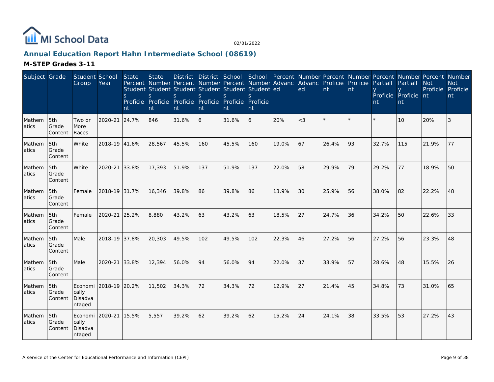

# **Annual Education Report Hahn Intermediate School (08619)**

| Subject Grade   |                         | Student School<br>Group               | Year          | State<br>S<br>nt | <b>State</b><br>Percent Number Percent Number Percent Number Advanc<br>Student Student Student Student Student Student ed<br>S<br>Proficie Proficie Proficie Proficie Proficie Proficie<br>nt | District District School<br>S.<br>nt | S.<br>nt | <sub>S</sub><br>nt | S.<br>nt |       | School Percent Number Percent Number Percent Number Percent Number<br>Advanc Proficie<br>ed | nt    | Proficie<br>nt | Partiall<br>nt | Partiall<br>Proficie Proficie nt<br>nt | <b>Not</b> | <b>Not</b><br>Proficie Proficie<br>nt |
|-----------------|-------------------------|---------------------------------------|---------------|------------------|-----------------------------------------------------------------------------------------------------------------------------------------------------------------------------------------------|--------------------------------------|----------|--------------------|----------|-------|---------------------------------------------------------------------------------------------|-------|----------------|----------------|----------------------------------------|------------|---------------------------------------|
| Mathem<br>atics | 5th<br>Grade<br>Content | Two or<br>More<br>Races               | 2020-21       | 24.7%            | 846                                                                                                                                                                                           | 31.6%                                | 6        | 31.6%              | 6        | 20%   | $<$ 3                                                                                       |       | $\star$        | $\star$        | 10                                     | 20%        | 3                                     |
| Mathem<br>atics | 5th<br>Grade<br>Content | White                                 | 2018-19 41.6% |                  | 28,567                                                                                                                                                                                        | 45.5%                                | 160      | 45.5%              | 160      | 19.0% | 67                                                                                          | 26.4% | 93             | 32.7%          | 115                                    | 21.9%      | 77                                    |
| Mathem<br>atics | 5th<br>Grade<br>Content | White                                 | 2020-21       | 33.8%            | 17,393                                                                                                                                                                                        | 51.9%                                | 137      | 51.9%              | 137      | 22.0% | 58                                                                                          | 29.9% | 79             | 29.2%          | 77                                     | 18.9%      | 50                                    |
| Mathem<br>atics | 5th<br>Grade<br>Content | Female                                | 2018-19 31.7% |                  | 16,346                                                                                                                                                                                        | 39.8%                                | 86       | 39.8%              | 86       | 13.9% | 30                                                                                          | 25.9% | 56             | 38.0%          | 82                                     | 22.2%      | 48                                    |
| Mathem<br>atics | 5th<br>Grade<br>Content | Female                                | 2020-21       | 25.2%            | 8,880                                                                                                                                                                                         | 43.2%                                | 63       | 43.2%              | 63       | 18.5% | 27                                                                                          | 24.7% | 36             | 34.2%          | 50                                     | 22.6%      | 33                                    |
| Mathem<br>atics | 5th<br>Grade<br>Content | Male                                  | 2018-19 37.8% |                  | 20,303                                                                                                                                                                                        | 49.5%                                | 102      | 49.5%              | 102      | 22.3% | 46                                                                                          | 27.2% | 56             | 27.2%          | 56                                     | 23.3%      | 48                                    |
| Mathem<br>atics | 5th<br>Grade<br>Content | Male                                  | 2020-21       | 33.8%            | 12,394                                                                                                                                                                                        | 56.0%                                | 94       | 56.0%              | 94       | 22.0% | 37                                                                                          | 33.9% | 57             | 28.6%          | 48                                     | 15.5%      | 26                                    |
| Mathem<br>atics | 5th<br>Grade<br>Content | Economi<br>cally<br>Disadva<br>ntaged | 2018-19 20.2% |                  | 11,502                                                                                                                                                                                        | 34.3%                                | 72       | 34.3%              | 72       | 12.9% | 27                                                                                          | 21.4% | 45             | 34.8%          | 73                                     | 31.0%      | 65                                    |
| Mathem<br>atics | 5th<br>Grade<br>Content | Economi<br>cally<br>Disadva<br>ntaged | 2020-21       | 15.5%            | 5,557                                                                                                                                                                                         | 39.2%                                | 62       | 39.2%              | 62       | 15.2% | 24                                                                                          | 24.1% | 38             | 33.5%          | 53                                     | 27.2%      | 43                                    |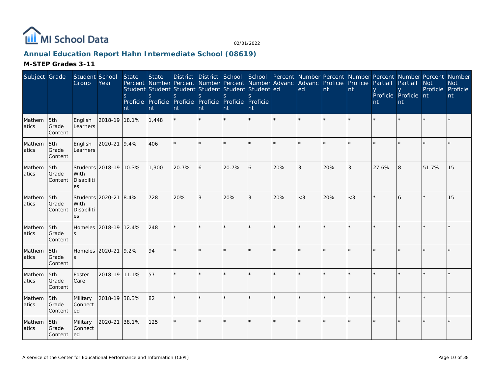

# **Annual Education Report Hahn Intermediate School (08619)**

| Subject Grade   |                         | Student School<br>Group    | Year                   | State<br><sub>S</sub><br>nt | <b>State</b><br><sub>S</sub><br>nt | Percent Number Percent Number Percent Number Advanc Advanc Proficie Proficie<br>Student Student Student Student Student Student ed<br><sub>S</sub><br>Proficie Proficie Proficie Proficie Proficie Proficie<br>nt | S<br>nt | <sub>S</sub><br>nt | S<br>nt |         | District District School School Percent Number Percent Number Percent Number Percent Number<br>ed | nt  | nt    | Partiall<br>nt | Partiall<br>Proficie Proficie nt<br>nt | <b>Not</b><br>Proficie Proficie | <b>Not</b><br>nt |
|-----------------|-------------------------|----------------------------|------------------------|-----------------------------|------------------------------------|-------------------------------------------------------------------------------------------------------------------------------------------------------------------------------------------------------------------|---------|--------------------|---------|---------|---------------------------------------------------------------------------------------------------|-----|-------|----------------|----------------------------------------|---------------------------------|------------------|
| Mathem<br>atics | 5th<br>Grade<br>Content | English<br>Learners        | 2018-19 18.1%          |                             | 1,448                              |                                                                                                                                                                                                                   |         |                    |         |         |                                                                                                   |     |       |                |                                        |                                 |                  |
| Mathem<br>atics | 5th<br>Grade<br>Content | English<br>Learners        | 2020-21                | 9.4%                        | 406                                | ÷.                                                                                                                                                                                                                | $\star$ |                    | $\star$ | $\star$ | $\star$                                                                                           |     |       |                |                                        |                                 |                  |
| Mathem<br>atics | 5th<br>Grade<br>Content | With<br>Disabiliti<br>es   | Students 2018-19 10.3% |                             | 1,300                              | 20.7%                                                                                                                                                                                                             | 6       | 20.7%              | 6       | 20%     | 3                                                                                                 | 20% | 3     | 27.6%          | 8                                      | 51.7%                           | 15               |
| Mathem<br>atics | 5th<br>Grade<br>Content | With<br>Disabiliti<br>es   | Students 2020-21       | 8.4%                        | 728                                | 20%                                                                                                                                                                                                               | 3       | 20%                | 3       | 20%     | $<$ 3                                                                                             | 20% | $<$ 3 |                | 6                                      |                                 | 15               |
| Mathem<br>atics | 5th<br>Grade<br>Content | S                          | Homeles 2018-19 12.4%  |                             | 248                                | ÷.                                                                                                                                                                                                                |         |                    |         |         |                                                                                                   |     |       |                |                                        |                                 |                  |
| Mathem<br>atics | 5th<br>Grade<br>Content | Homeles<br>S               | 2020-21                | 9.2%                        | 94                                 | $\star$                                                                                                                                                                                                           |         |                    | $\star$ |         |                                                                                                   |     |       |                |                                        |                                 |                  |
| Mathem<br>atics | 5th<br>Grade<br>Content | Foster<br>Care             | 2018-19 11.1%          |                             | 57                                 |                                                                                                                                                                                                                   | $\star$ |                    | ×.      |         | $\star$                                                                                           |     |       |                |                                        |                                 |                  |
| Mathem<br>atics | 5th<br>Grade<br>Content | Military<br>Connect<br>led | 2018-19 38.3%          |                             | 82                                 | ÷.                                                                                                                                                                                                                |         |                    |         |         |                                                                                                   |     |       |                |                                        |                                 |                  |
| Mathem<br>atics | 5th<br>Grade<br>Content | Military<br>Connect<br>led | 2020-21                | 38.1%                       | 125                                | ÷.                                                                                                                                                                                                                |         |                    | $\star$ |         |                                                                                                   |     |       |                |                                        |                                 |                  |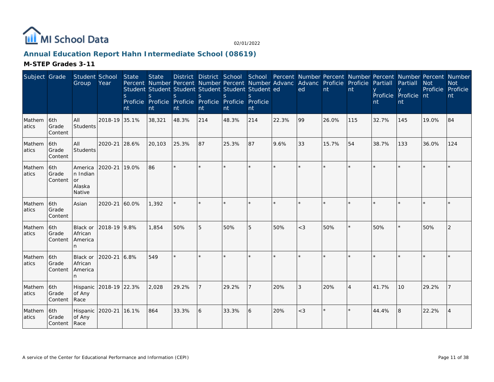

# **Annual Education Report Hahn Intermediate School (08619)**

| Subject Grade   |                                | Student School<br>Group                              | Year          | State<br><sub>S</sub><br>nt | <b>State</b><br>Student Student Student Student Student Student ed<br>S<br>Proficie Proficie Proficie Proficie Proficie Proficie<br>nt | <sub>S</sub><br>nt | <sub>S</sub><br>nt | <sub>S</sub><br>nt | <sup>S</sup><br>nt |       | District District School School Percent Number Percent Number Percent Number Percent Number<br>Percent Number Percent Number Percent Number Advanc Advanc Proficie Proficie<br>ed | nt    | nt             | Partiall<br>nt | Partiall<br>Proficie Proficie nt<br>nt | <b>Not</b><br>Proficie | <b>Not</b><br>Proficie<br>nt |
|-----------------|--------------------------------|------------------------------------------------------|---------------|-----------------------------|----------------------------------------------------------------------------------------------------------------------------------------|--------------------|--------------------|--------------------|--------------------|-------|-----------------------------------------------------------------------------------------------------------------------------------------------------------------------------------|-------|----------------|----------------|----------------------------------------|------------------------|------------------------------|
| Mathem<br>atics | 6th<br>Grade<br>Content        | <b>AII</b><br>Students                               | 2018-19 35.1% |                             | 38,321                                                                                                                                 | 48.3%              | 214                | 48.3%              | 214                | 22.3% | 99                                                                                                                                                                                | 26.0% | 115            | 32.7%          | 145                                    | 19.0%                  | 84                           |
| Mathem<br>atics | 6th<br>Grade<br>Content        | <b>AII</b><br>Students                               | 2020-21       | 28.6%                       | 20,103                                                                                                                                 | 25.3%              | 87                 | 25.3%              | 87                 | 9.6%  | 33                                                                                                                                                                                | 15.7% | 54             | 38.7%          | 133                                    | 36.0%                  | 124                          |
| Mathem<br>atics | 6th<br>Grade<br>Content        | America<br>n Indian<br><b>or</b><br>Alaska<br>Native | 2020-21 19.0% |                             | 86                                                                                                                                     | $\ddot{\psi}$      | $\star$            |                    |                    |       |                                                                                                                                                                                   |       |                |                |                                        |                        |                              |
| Mathem<br>atics | l6th<br>Grade<br>Content       | Asian                                                | 2020-21       | 60.0%                       | 1.392                                                                                                                                  |                    |                    |                    |                    |       |                                                                                                                                                                                   |       |                |                |                                        |                        |                              |
| Mathem<br>atics | 16th<br>Grade<br>Content       | Black or<br>African<br>America<br>n                  | 2018-19 9.8%  |                             | 1.854                                                                                                                                  | 50%                | 5                  | 50%                | 5                  | 50%   | $<$ 3                                                                                                                                                                             | 50%   |                | 50%            |                                        | 50%                    | 2                            |
| Mathem<br>atics | 6th<br>Grade<br>Content        | Black or<br>African<br>America<br>n.                 | 2020-21       | 6.8%                        | 549                                                                                                                                    |                    |                    |                    |                    |       |                                                                                                                                                                                   |       |                |                |                                        |                        |                              |
| Mathem<br>atics | 6th<br>Grade<br>Content        | Hispanic<br>of Any<br>Race                           | 2018-19 22.3% |                             | 2,028                                                                                                                                  | 29.2%              |                    | 29.2%              |                    | 20%   | 3                                                                                                                                                                                 | 20%   | $\overline{4}$ | 41.7%          | 10 <sup>1</sup>                        | 29.2%                  |                              |
| Mathem<br>atics | 6th<br>Grade<br>Content   Race | Hispanic<br>of Any                                   | 2020-21       | 16.1%                       | 864                                                                                                                                    | 33.3%              | 6                  | 33.3%              | 6                  | 20%   | $<$ 3                                                                                                                                                                             |       |                | 44.4%          | $\overline{8}$                         | 22.2%                  | $\overline{4}$               |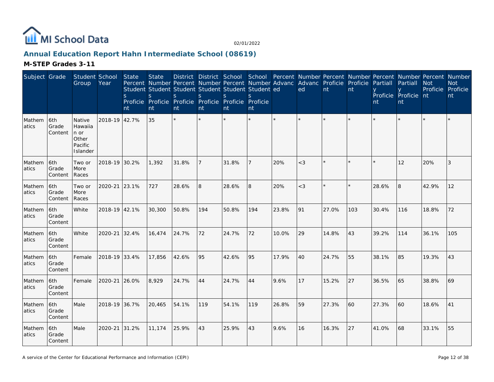

# **Annual Education Report Hahn Intermediate School (08619)**

| Subject Grade   |                          | Student School<br>Group                                   | Year          | <b>State</b><br>S.<br>nt | <b>State</b><br>Percent Number Percent Number Percent Number Advanc<br>Student Student Student Student Student Student ed<br>S.<br>Proficie Proficie<br>nt | District District School<br><sub>S</sub><br>nt | S<br>nt | S<br>Proficie Proficie Proficie Proficie<br>nt | <sub>S</sub><br>nt |       | School Percent Number Percent Number Percent Number Percent Number<br>Advanc Proficie Proficie<br>ed | nt    | nt      | Partiall<br>nt | Partiall<br>Proficie Proficie nt<br>nt | <b>Not</b><br>Proficie | <b>Not</b><br>Proficie<br>nt |
|-----------------|--------------------------|-----------------------------------------------------------|---------------|--------------------------|------------------------------------------------------------------------------------------------------------------------------------------------------------|------------------------------------------------|---------|------------------------------------------------|--------------------|-------|------------------------------------------------------------------------------------------------------|-------|---------|----------------|----------------------------------------|------------------------|------------------------------|
| Mathem<br>atics | 6th<br>Grade<br>Content  | Native<br>Hawaiia<br>n or<br>Other<br>Pacific<br>Islander | 2018-19 42.7% |                          | 35                                                                                                                                                         |                                                |         |                                                |                    |       |                                                                                                      |       | ÷       |                |                                        |                        |                              |
| Mathem<br>atics | 6th<br>Grade<br>Content  | Two or<br>More<br>Races                                   | 2018-19 30.2% |                          | 1,392                                                                                                                                                      | 31.8%                                          | 7       | 31.8%                                          |                    | 20%   | $\lt3$                                                                                               |       | $\star$ |                | 12                                     | 20%                    | 3                            |
| Mathem<br>atics | 6th<br>Grade<br>Content  | Two or<br>More<br>Races                                   | 2020-21       | 23.1%                    | 727                                                                                                                                                        | 28.6%                                          | 8       | 28.6%                                          | 8                  | 20%   | $<$ 3                                                                                                |       |         | 28.6%          | 8                                      | 42.9%                  | 12                           |
| Mathem<br>atics | l6th<br>Grade<br>Content | White                                                     | 2018-19 42.1% |                          | 30,300                                                                                                                                                     | 50.8%                                          | 194     | 50.8%                                          | 194                | 23.8% | 91                                                                                                   | 27.0% | 103     | 30.4%          | 116                                    | 18.8%                  | 72                           |
| Mathem<br>atics | 6th<br>Grade<br>Content  | White                                                     | 2020-21       | 32.4%                    | 16,474                                                                                                                                                     | 24.7%                                          | 72      | 24.7%                                          | 72                 | 10.0% | 29                                                                                                   | 14.8% | 43      | 39.2%          | 114                                    | 36.1%                  | 105                          |
| Mathem<br>atics | 6th<br>Grade<br>Content  | Female                                                    | 2018-19 33.4% |                          | 17,856                                                                                                                                                     | 42.6%                                          | 95      | 42.6%                                          | 95                 | 17.9% | 40                                                                                                   | 24.7% | 55      | 38.1%          | 85                                     | 19.3%                  | 43                           |
| Mathem<br>atics | 6th<br>Grade<br>Content  | Female                                                    | 2020-21 26.0% |                          | 8,929                                                                                                                                                      | 24.7%                                          | 44      | 24.7%                                          | 44                 | 9.6%  | 17                                                                                                   | 15.2% | 27      | 36.5%          | 65                                     | 38.8%                  | 69                           |
| Mathem<br>atics | l6th<br>Grade<br>Content | Male                                                      | 2018-19 36.7% |                          | 20,465                                                                                                                                                     | 54.1%                                          | 119     | 54.1%                                          | 119                | 26.8% | 59                                                                                                   | 27.3% | 60      | 27.3%          | 60                                     | 18.6%                  | 41                           |
| Mathem<br>atics | 6th<br>Grade<br>Content  | Male                                                      | 2020-21       | 31.2%                    | 11,174                                                                                                                                                     | 25.9%                                          | 43      | 25.9%                                          | 43                 | 9.6%  | 16                                                                                                   | 16.3% | 27      | 41.0%          | 68                                     | 33.1%                  | 55                           |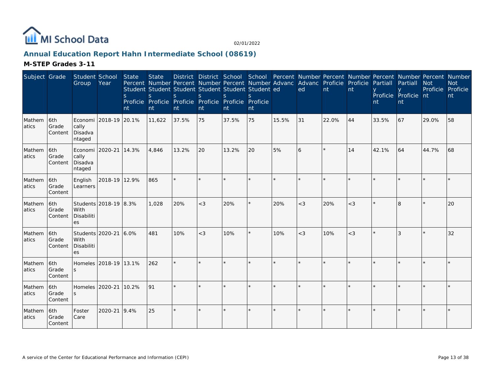

# **Annual Education Report Hahn Intermediate School (08619)**

| Subject Grade    |                         | Student School<br>Group                       | Year                  | <b>State</b><br><sub>S</sub><br>nt | <b>State</b><br><sub>S</sub><br>nt | Percent Number Percent Number Percent Number Advanc Advanc Proficie Proficie<br>Student Student Student Student Student Student ed<br><sub>S</sub><br>Proficie Proficie Proficie Proficie Proficie Proficie<br>nt | $\mathsf{S}$<br>nt | <sub>S</sub><br>nt | $\mathcal{S}$<br>nt |         | ed      | nt      | nt     | Partiall<br>nt | District District School School Percent Number Percent Number Percent Number Percent Number<br>Partiall<br>Proficie Proficie nt<br>nt | <b>Not</b><br>Proficie | <b>Not</b><br>Proficie<br>nt |
|------------------|-------------------------|-----------------------------------------------|-----------------------|------------------------------------|------------------------------------|-------------------------------------------------------------------------------------------------------------------------------------------------------------------------------------------------------------------|--------------------|--------------------|---------------------|---------|---------|---------|--------|----------------|---------------------------------------------------------------------------------------------------------------------------------------|------------------------|------------------------------|
| Mathem<br>atics  | 6th<br>Grade<br>Content | cally<br>Disadva<br>ntaged                    | Economi 2018-19 20.1% |                                    | 11,622                             | 37.5%                                                                                                                                                                                                             | 75                 | 37.5%              | 75                  | 15.5%   | 31      | 22.0%   | 44     | 33.5%          | 67                                                                                                                                    | 29.0%                  | 58                           |
| Mathem<br>atics  | 6th<br>Grade<br>Content | Economi 2020-21<br>cally<br>Disadva<br>ntaged |                       | 14.3%                              | 4,846                              | 13.2%                                                                                                                                                                                                             | 20                 | 13.2%              | 20                  | 5%      | 6       | $\star$ | 14     | 42.1%          | 64                                                                                                                                    | 44.7%                  | 68                           |
| Mathem<br>atics  | 6th<br>Grade<br>Content | English<br>Learners                           | 2018-19 12.9%         |                                    | 865                                |                                                                                                                                                                                                                   |                    |                    |                     |         |         |         |        |                |                                                                                                                                       |                        |                              |
| Mathem<br>latics | 6th<br>Grade<br>Content | With<br>Disabiliti<br>es                      | Students 2018-19 8.3% |                                    | 1,028                              | 20%                                                                                                                                                                                                               | $<$ 3              | 20%                | ×.                  | 20%     | $<$ 3   | 20%     | $<$ 3  |                | 8                                                                                                                                     |                        | 20                           |
| Mathem<br>atics  | 6th<br>Grade<br>Content | With<br>Disabiliti<br>es                      | Students 2020-21 6.0% |                                    | 481                                | 10%                                                                                                                                                                                                               | $<$ 3              | 10%                | $\star$             | 10%     | $<$ 3   | 10%     | $\lt3$ |                |                                                                                                                                       |                        | 32                           |
| Mathem<br>atics  | 6th<br>Grade<br>Content |                                               | Homeles 2018-19 13.1% |                                    | 262                                | $\star$                                                                                                                                                                                                           |                    |                    | ×.                  | $\star$ | $\star$ |         |        |                |                                                                                                                                       |                        |                              |
| Mathem<br>atics  | 6th<br>Grade<br>Content | Homeles 2020-21                               |                       | 10.2%                              | 91                                 |                                                                                                                                                                                                                   |                    |                    |                     |         |         |         |        |                |                                                                                                                                       |                        |                              |
| Mathem<br>atics  | 6th<br>Grade<br>Content | Foster<br>Care                                | 2020-21 9.4%          |                                    | 25                                 | $\star$                                                                                                                                                                                                           |                    |                    | $\star$             | $\star$ | $\star$ |         |        |                |                                                                                                                                       |                        |                              |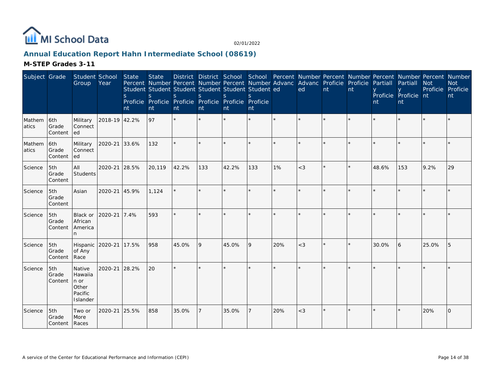

# **Annual Education Report Hahn Intermediate School (08619)**

| Subject Grade   |                                 | Student School<br>Group                                       | Year          | State<br><sub>S</sub><br>nt | <b>State</b><br>S<br>nt | Percent Number Percent Number Percent Number Advanc<br>Student Student Student Student Student Student ed<br>S<br>Proficie Proficie Proficie Proficie Proficie Proficie<br>nt | $\mathsf{S}$<br>nt | S.<br>nt | $\mathcal{S}_{\mathcal{S}}$<br>nt |     | District District School School Percent Number Percent Number Percent Number Percent Number<br>Advanc Proficie Proficie<br>ed | nt | nt      | Partiall<br>nt | Partiall<br>Proficie Proficie nt<br>nt | <b>Not</b><br>Proficie | <b>Not</b><br>Proficie<br>nt |
|-----------------|---------------------------------|---------------------------------------------------------------|---------------|-----------------------------|-------------------------|-------------------------------------------------------------------------------------------------------------------------------------------------------------------------------|--------------------|----------|-----------------------------------|-----|-------------------------------------------------------------------------------------------------------------------------------|----|---------|----------------|----------------------------------------|------------------------|------------------------------|
| Mathem<br>atics | 6th<br>Grade<br>Content         | Military<br>Connect<br>led                                    | 2018-19 42.2% |                             | 97                      | $\star$                                                                                                                                                                       | $\star$            |          | $\star$                           |     |                                                                                                                               |    |         |                |                                        |                        |                              |
| Mathem<br>atics | 6th<br>Grade<br>Content         | Military<br>Connect<br>led                                    | 2020-21       | 33.6%                       | 132                     | ÷.                                                                                                                                                                            | $\star$            |          | $\star$                           |     | $\star$                                                                                                                       |    |         |                |                                        |                        |                              |
| Science         | 5th<br>Grade<br>Content         | All<br>Students                                               | 2020-21       | 28.5%                       | 20,119                  | 42.2%                                                                                                                                                                         | 133                | 42.2%    | 133                               | 1%  | $<$ 3                                                                                                                         |    |         | 48.6%          | 153                                    | 9.2%                   | 29                           |
| Science         | 5th<br>Grade<br>Content         | Asian                                                         | 2020-21       | 45.9%                       | 1,124                   | $\star$                                                                                                                                                                       | ×.                 |          | $\star$                           |     |                                                                                                                               |    |         |                |                                        |                        |                              |
| Science         | 5th<br>Grade<br>Content         | Black or<br>African<br>America<br>n.                          | 2020-21       | 7.4%                        | 593                     |                                                                                                                                                                               |                    |          |                                   |     |                                                                                                                               |    |         |                |                                        |                        |                              |
| Science         | 5th<br>Grade<br>Content         | Hispanic 2020-21<br>of Any<br>Race                            |               | 17.5%                       | 958                     | 45.0%                                                                                                                                                                         | 9                  | 45.0%    | 9                                 | 20% | $<$ 3                                                                                                                         |    | $\star$ | 30.0%          | 6                                      | 25.0%                  | 5                            |
| Science         | 5th<br>Grade<br>Content         | Native<br>Hawaiia<br>$\ln$ or<br>Other<br>Pacific<br>Islander | 2020-21       | 28.2%                       | 20                      |                                                                                                                                                                               |                    |          |                                   |     |                                                                                                                               |    |         |                |                                        |                        |                              |
| Science         | 5th<br>Grade<br>Content   Races | Two or<br>More                                                | 2020-21       | 25.5%                       | 858                     | 35.0%                                                                                                                                                                         | 7                  | 35.0%    | $\overline{7}$                    | 20% | $<$ 3                                                                                                                         |    |         |                |                                        | 20%                    | $\overline{O}$               |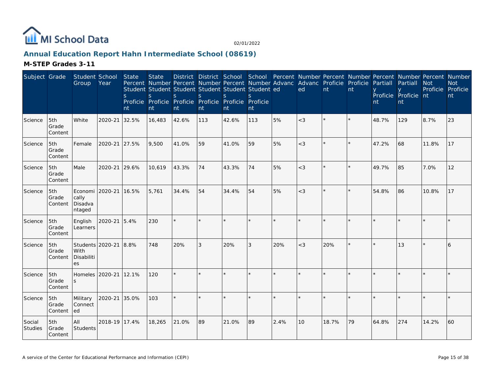

# **Annual Education Report Hahn Intermediate School (08619)**

| Subject Grade            |                         | Student School<br>Group                      | Year          | State<br><sub>S</sub><br>nt | <b>State</b><br>Percent Number Percent Number Percent Number Advanc<br>Student Student Student Student Student Student ed<br>S.<br>Proficie Proficie Proficie Proficie Proficie Proficie<br>nt | S.<br>nt | <sub>S</sub><br>nt | <sub>S</sub><br>nt | S.<br>nt |      | District District School School Percent Number Percent Number Percent Number Percent Number<br>Advanc Proficie<br>ed | nt    | Proficie<br>nt | Partiall<br>nt | Partiall<br>Proficie Proficie nt<br>nt | <b>Not</b><br>Proficie Proficie | <b>Not</b><br>nt |
|--------------------------|-------------------------|----------------------------------------------|---------------|-----------------------------|------------------------------------------------------------------------------------------------------------------------------------------------------------------------------------------------|----------|--------------------|--------------------|----------|------|----------------------------------------------------------------------------------------------------------------------|-------|----------------|----------------|----------------------------------------|---------------------------------|------------------|
| Science                  | 5th<br>Grade<br>Content | White                                        | 2020-21       | 32.5%                       | 16,483                                                                                                                                                                                         | 42.6%    | 113                | 42.6%              | 113      | 5%   | $<$ 3                                                                                                                |       | $\star$        | 48.7%          | 129                                    | 8.7%                            | 23               |
| Science                  | 5th<br>Grade<br>Content | Female                                       | 2020-21 27.5% |                             | 9,500                                                                                                                                                                                          | 41.0%    | 59                 | 41.0%              | 59       | 5%   | $<$ 3                                                                                                                |       |                | 47.2%          | 68                                     | 11.8%                           | 17               |
| Science                  | 5th<br>Grade<br>Content | Male                                         | 2020-21       | 29.6%                       | 10,619                                                                                                                                                                                         | 43.3%    | 74                 | 43.3%              | 74       | 5%   | $<$ 3                                                                                                                | ÷.    | $\star$        | 49.7%          | 85                                     | 7.0%                            | 12               |
| Science                  | 5th<br>Grade<br>Content | Economi<br>cally<br>Disadva<br>ntaged        | 2020-21       | 16.5%                       | 5,761                                                                                                                                                                                          | 34.4%    | 54                 | 34.4%              | 54       | 5%   | $<$ 3                                                                                                                |       | $\star$        | 54.8%          | 86                                     | 10.8%                           | 17               |
| Science                  | 5th<br>Grade<br>Content | English<br>Learners                          | 2020-21       | 15.4%                       | 230                                                                                                                                                                                            | $\star$  | $\star$            | $\star$            |          |      | $\star$                                                                                                              |       |                |                |                                        |                                 |                  |
| Science                  | 5th<br>Grade<br>Content | Students 2020-21<br>With<br>Disabiliti<br>es |               | 8.8%                        | 748                                                                                                                                                                                            | 20%      | 3                  | 20%                | 3        | 20%  | $<$ 3                                                                                                                | 20%   | $\star$        |                | 13                                     |                                 | 6                |
| Science                  | 5th<br>Grade<br>Content | Homeles 2020-21                              |               | 12.1%                       | 120                                                                                                                                                                                            | $\star$  | $\star$            |                    |          |      | $\star$                                                                                                              |       | $\star$        |                |                                        |                                 |                  |
| Science                  | 5th<br>Grade<br>Content | Military<br>Connect<br>ed                    | 2020-21 35.0% |                             | 103                                                                                                                                                                                            | $\star$  |                    |                    |          |      |                                                                                                                      |       |                |                |                                        |                                 |                  |
| Social<br><b>Studies</b> | 5th<br>Grade<br>Content | All<br>Students                              | 2018-19 17.4% |                             | 18,265                                                                                                                                                                                         | 21.0%    | 89                 | 21.0%              | 89       | 2.4% | 10                                                                                                                   | 18.7% | 79             | 64.8%          | 274                                    | 14.2%                           | 60               |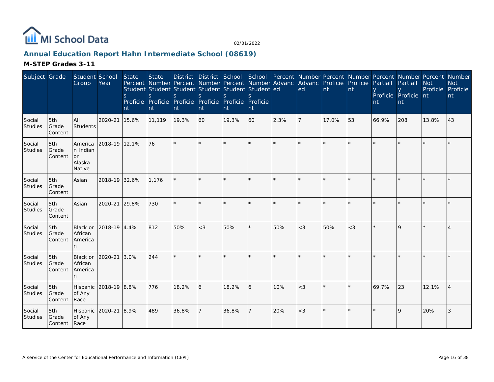

# **Annual Education Report Hahn Intermediate School (08619)**

| Subject Grade            |                         | Student School<br>Group                              | Year          | <b>State</b><br><sub>S</sub><br>nt | <b>State</b><br><sub>S</sub><br>nt | Percent Number Percent Number Percent Number Advanc Advanc Proficie Proficie<br>Student Student Student Student Student Student ed<br><sub>S</sub><br>Proficie Proficie Proficie Proficie Proficie Proficie<br>nt | <sub>S</sub><br>nt | $\mathcal{S}$<br>nt | $\mathcal{S}$<br>nt |              | District District School School Percent Number Percent Number Percent Number Percent Number<br>ed | nt    | nt    | Partiall<br>nt | Partiall<br>Proficie Proficie nt<br>nt | <b>Not</b><br>Proficie | <b>Not</b><br>Proficie<br>nt |
|--------------------------|-------------------------|------------------------------------------------------|---------------|------------------------------------|------------------------------------|-------------------------------------------------------------------------------------------------------------------------------------------------------------------------------------------------------------------|--------------------|---------------------|---------------------|--------------|---------------------------------------------------------------------------------------------------|-------|-------|----------------|----------------------------------------|------------------------|------------------------------|
| Social<br><b>Studies</b> | 5th<br>Grade<br>Content | All<br>Students                                      | 2020-21       | 15.6%                              | 11,119                             | 19.3%                                                                                                                                                                                                             | 60                 | 19.3%               | 60                  | 2.3%         | 7                                                                                                 | 17.0% | 53    | 66.9%          | 208                                    | 13.8%                  | 43                           |
| Social<br>Studies        | 5th<br>Grade<br>Content | America<br>n Indian<br><b>or</b><br>Alaska<br>Native | 2018-19 12.1% |                                    | 76                                 | $\star$                                                                                                                                                                                                           |                    |                     | ×.                  | $\mathbf{d}$ | $\star$                                                                                           |       |       |                |                                        |                        |                              |
| Social<br>Studies        | 5th<br>Grade<br>Content | Asian                                                | 2018-19 32.6% |                                    | 1,176                              | ÷.                                                                                                                                                                                                                |                    |                     |                     |              |                                                                                                   |       |       |                |                                        |                        |                              |
| Social<br>Studies        | 5th<br>Grade<br>Content | Asian                                                | 2020-21       | 29.8%                              | 730                                | $\star$                                                                                                                                                                                                           |                    |                     | ×.                  | $\star$      | $\star$                                                                                           |       |       |                |                                        |                        |                              |
| Social<br>Studies        | 5th<br>Grade<br>Content | Black or<br>African<br>America<br>n.                 | 2018-19 4.4%  |                                    | 812                                | 50%                                                                                                                                                                                                               | $<$ 3              | 50%                 | ×.                  | 50%          | $<$ 3                                                                                             | 50%   | $<$ 3 |                | $\Omega$                               |                        |                              |
| Social<br><b>Studies</b> | 5th<br>Grade<br>Content | Black or<br>African<br>America                       | 2020-21       | 3.0%                               | 244                                | $\star$                                                                                                                                                                                                           |                    |                     | ×.                  |              |                                                                                                   |       |       |                |                                        |                        |                              |
| Social<br>Studies        | 5th<br>Grade<br>Content | Hispanic 2018-19 8.8%<br>of Any<br>Race              |               |                                    | 776                                | 18.2%                                                                                                                                                                                                             | <sup>6</sup>       | 18.2%               | 6                   | 10%          | $<$ 3                                                                                             |       |       | 69.7%          | 23                                     | 12.1%                  |                              |
| Social<br>Studies        | 5th<br>Grade<br>Content | Hispanic<br>of Any<br>Race                           | 2020-21 8.9%  |                                    | 489                                | 36.8%                                                                                                                                                                                                             |                    | 36.8%               | $\overline{7}$      | 20%          | $<$ 3                                                                                             |       |       |                | $\mathsf{Q}$                           | 20%                    | 3                            |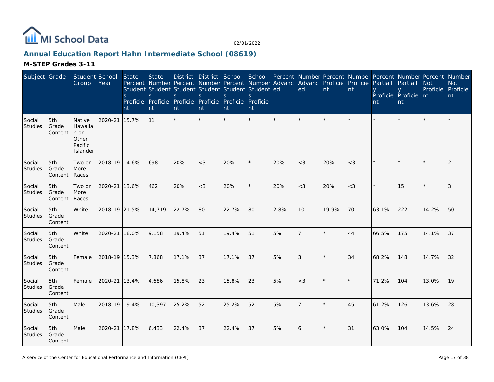

# **Annual Education Report Hahn Intermediate School (08619)**

| Subject Grade            |                         | Student School<br>Group                                   | Year          | State<br>S.<br>nt | <b>State</b><br><sub>S</sub><br>nt | Percent Number Percent Number Percent Number Advanc<br>Student Student Student Student Student Student ed<br>S.<br>Proficie Proficie Proficie Proficie Proficie<br>nt | $\mathsf{S}$<br>nt | <sub>S</sub><br>nt | <sub>S</sub><br>Proficie<br>nt |         | Advanc Proficie Proficie<br>ed | nt    | nt      | Partiall<br>nt | District District School School Percent Number Percent Number Percent Number Percent Number<br>Partiall<br>Proficie Proficie nt<br>nt | <b>Not</b><br>Proficie Proficie | <b>Not</b><br>nt |
|--------------------------|-------------------------|-----------------------------------------------------------|---------------|-------------------|------------------------------------|-----------------------------------------------------------------------------------------------------------------------------------------------------------------------|--------------------|--------------------|--------------------------------|---------|--------------------------------|-------|---------|----------------|---------------------------------------------------------------------------------------------------------------------------------------|---------------------------------|------------------|
| Social<br>Studies        | 5th<br>Grade<br>Content | Native<br>Hawaiia<br>n or<br>Other<br>Pacific<br>Islander | 2020-21       | 15.7%             | 11                                 | $\star$                                                                                                                                                               |                    |                    | $\star$                        | $\star$ | $\star$                        |       |         |                |                                                                                                                                       |                                 |                  |
| Social<br>Studies        | 5th<br>Grade<br>Content | Two or<br>More<br>Races                                   | 2018-19 14.6% |                   | 698                                | 20%                                                                                                                                                                   | $<$ 3              | 20%                | ¥                              | 20%     | $<$ 3                          | 20%   | $<$ 3   |                |                                                                                                                                       |                                 | $\overline{2}$   |
| Social<br>Studies        | 5th<br>Grade<br>Content | Two or<br>More<br>Races                                   | 2020-21       | 13.6%             | 462                                | 20%                                                                                                                                                                   | $<$ 3              | 20%                | ¥.                             | 20%     | $<$ 3                          | 20%   | $<$ 3   |                | 15                                                                                                                                    |                                 | 3                |
| Social<br>Studies        | 5th<br>Grade<br>Content | White                                                     | 2018-19 21.5% |                   | 14,719                             | 22.7%                                                                                                                                                                 | 80                 | 22.7%              | 180                            | 2.8%    | 10                             | 19.9% | 70      | 63.1%          | 222                                                                                                                                   | 14.2%                           | 50               |
| Social<br>Studies        | 5th<br>Grade<br>Content | White                                                     | 2020-21       | 18.0%             | 9,158                              | 19.4%                                                                                                                                                                 | 51                 | 19.4%              | 51                             | 5%      | $\overline{7}$                 |       | 44      | 66.5%          | 175                                                                                                                                   | 14.1%                           | 37               |
| Social<br>Studies        | 5th<br>Grade<br>Content | Female                                                    | 2018-19 15.3% |                   | 7,868                              | 17.1%                                                                                                                                                                 | 37                 | 17.1%              | 37                             | 5%      | 3                              |       | 34      | 68.2%          | 148                                                                                                                                   | 14.7%                           | 32               |
| Social<br>Studies        | 5th<br>Grade<br>Content | Female                                                    | 2020-21       | 13.4%             | 4,686                              | 15.8%                                                                                                                                                                 | 23                 | 15.8%              | 23                             | 5%      | $<$ 3                          |       | $\star$ | 71.2%          | 104                                                                                                                                   | 13.0%                           | 19               |
| Social<br>Studies        | 5th<br>Grade<br>Content | Male                                                      | 2018-19 19.4% |                   | 10,397                             | 25.2%                                                                                                                                                                 | 52                 | 25.2%              | 52                             | 5%      | $\overline{7}$                 |       | 45      | 61.2%          | 126                                                                                                                                   | 13.6%                           | 28               |
| Social<br><b>Studies</b> | 5th<br>Grade<br>Content | Male                                                      | 2020-21       | 17.8%             | 6,433                              | 22.4%                                                                                                                                                                 | 37                 | 22.4%              | 37                             | 5%      | 6                              |       | 31      | 63.0%          | 104                                                                                                                                   | 14.5%                           | 24               |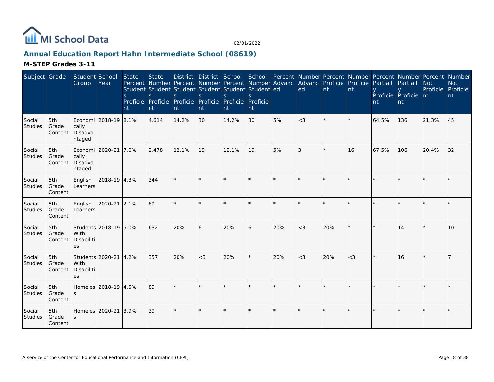

# **Annual Education Report Hahn Intermediate School (08619)**

| Subject Grade            |                         | Student School<br>Group                       | Year                  | <b>State</b><br><sub>S</sub><br>nt | <b>State</b><br>S<br>nt | Percent Number Percent Number Percent Number Advanc Advanc Proficie Proficie<br>Student Student Student Student Student Student ed<br><sub>S</sub><br>Proficie Proficie Proficie Proficie Proficie Proficie<br>nt | $\mathsf{S}$<br>nt | <sub>S</sub><br>nt | $\mathcal{S}$<br>nt |         | ed      | nt      | nt    | Partiall<br>nt | Partiall<br>Proficie Proficie nt<br>nt | <b>Not</b><br>Proficie | District District School School Percent Number Percent Number Percent Number Percent Number<br><b>Not</b><br>Proficie<br>nt |
|--------------------------|-------------------------|-----------------------------------------------|-----------------------|------------------------------------|-------------------------|-------------------------------------------------------------------------------------------------------------------------------------------------------------------------------------------------------------------|--------------------|--------------------|---------------------|---------|---------|---------|-------|----------------|----------------------------------------|------------------------|-----------------------------------------------------------------------------------------------------------------------------|
| Social<br>Studies        | 5th<br>Grade<br>Content | cally<br>Disadva<br>ntaged                    | Economi 2018-19 8.1%  |                                    | 4,614                   | 14.2%                                                                                                                                                                                                             | 30                 | 14.2%              | 30                  | 5%      | $<$ 3   |         |       | 64.5%          | 136                                    | 21.3%                  | 45                                                                                                                          |
| Social<br>Studies        | 5th<br>Grade<br>Content | Economi 2020-21<br>cally<br>Disadva<br>ntaged |                       | 7.0%                               | 2,478                   | 12.1%                                                                                                                                                                                                             | 19                 | 12.1%              | 19                  | 5%      | 3       | $\star$ | 16    | 67.5%          | 106                                    | 20.4%                  | 32                                                                                                                          |
| Social<br>Studies        | 5th<br>Grade<br>Content | English<br>Learners                           | 2018-19 4.3%          |                                    | 344                     |                                                                                                                                                                                                                   |                    |                    |                     |         |         |         |       |                |                                        |                        |                                                                                                                             |
| Social<br>Studies        | 5th<br>Grade<br>Content | English<br>Learners                           | 2020-21 2.1%          |                                    | 89                      |                                                                                                                                                                                                                   |                    |                    |                     |         |         |         |       |                |                                        |                        |                                                                                                                             |
| Social<br>Studies        | 5th<br>Grade<br>Content | With<br>Disabiliti<br>es                      | Students 2018-19 5.0% |                                    | 632                     | 20%                                                                                                                                                                                                               | 6                  | 20%                | 6                   | 20%     | $<$ 3   | 20%     |       |                | 14                                     |                        | 10                                                                                                                          |
| Social<br>Studies        | 5th<br>Grade<br>Content | Students 2020-21<br>With<br>Disabiliti<br>es  |                       | 4.2%                               | 357                     | 20%                                                                                                                                                                                                               | $<$ 3              | 20%                | ×.                  | 20%     | $<$ 3   | 20%     | $<$ 3 |                | 16                                     |                        |                                                                                                                             |
| Social<br>Studies        | 5th<br>Grade<br>Content |                                               | Homeles 2018-19 4.5%  |                                    | 89                      |                                                                                                                                                                                                                   |                    |                    |                     |         |         |         |       |                |                                        |                        |                                                                                                                             |
| Social<br><b>Studies</b> | 5th<br>Grade<br>Content | Homeles 2020-21                               |                       | 3.9%                               | 39                      | $\star$                                                                                                                                                                                                           |                    |                    | $\star$             | $\star$ | $\star$ |         |       |                |                                        |                        |                                                                                                                             |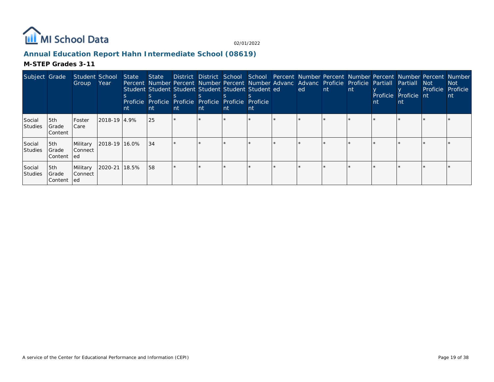

# **Annual Education Report Hahn Intermediate School (08619)**

| Subject Grade            |                            | Student School<br>Group     | Year           | State<br>nt | State<br>Percent Number Percent Number Percent Number Advanc Advanc Proficie Proficie Partiall<br>Student Student Student Student Student Student ed<br>Proficie Proficie Proficie Proficie Proficie<br>-nt | <b>nt</b> | nt | District District School School Percent Number Percent Number Percent Number Percent Number<br><b>nt</b> | Proficie<br>nt. | ed | <b>Int</b> | Int. | nt | <b>Partiall</b><br>Proficie Proficie nt<br><b>nt</b> | Not<br>Proficie Proficie | Not :<br><b>nt</b> |
|--------------------------|----------------------------|-----------------------------|----------------|-------------|-------------------------------------------------------------------------------------------------------------------------------------------------------------------------------------------------------------|-----------|----|----------------------------------------------------------------------------------------------------------|-----------------|----|------------|------|----|------------------------------------------------------|--------------------------|--------------------|
| Social<br><b>Studies</b> | 5th<br>Grade<br>l Content  | Foster<br>Care              | 2018-19   4.9% |             | l 25                                                                                                                                                                                                        |           |    |                                                                                                          |                 |    |            |      |    |                                                      |                          |                    |
| Social<br><b>Studies</b> | 5th<br>Grade<br>Content    | Military<br> Connect<br>led | 2018-19 16.0%  |             | 134                                                                                                                                                                                                         |           |    |                                                                                                          |                 |    |            |      |    |                                                      |                          |                    |
| Social<br><b>Studies</b> | 5th<br> Grade <br> Content | Military<br>l Connect<br>ed | 2020-21 18.5%  |             | 158                                                                                                                                                                                                         |           |    |                                                                                                          |                 |    |            |      |    |                                                      |                          |                    |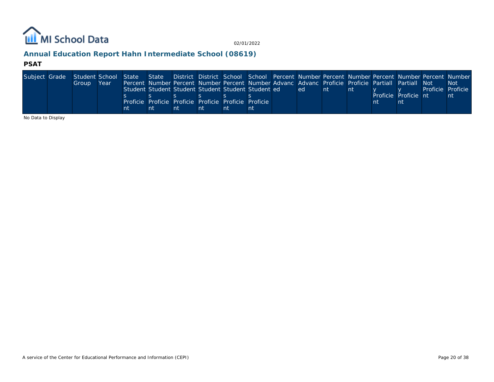

# **Annual Education Report Hahn Intermediate School (08619)**

#### **PSAT**

| Subject Grade | Student School State State District District School School Percent Number Percent Number Percent Number Percent Number |      |    |                                                                                                    |    |    |    |      |     |  |                      |                   |      |
|---------------|------------------------------------------------------------------------------------------------------------------------|------|----|----------------------------------------------------------------------------------------------------|----|----|----|------|-----|--|----------------------|-------------------|------|
|               | Group                                                                                                                  | Year |    | Percent Number Percent Number Percent Number Advanc Advanc Proficie Proficie Partiall Partiall Not |    |    |    |      |     |  |                      |                   | -Not |
|               |                                                                                                                        |      |    | Student Student Student Student Student Student ed                                                 |    |    |    | led. | -nt |  |                      | Proficie Proficie |      |
|               |                                                                                                                        |      |    |                                                                                                    |    |    |    |      |     |  | Proficie Proficie nt |                   | nt   |
|               |                                                                                                                        |      |    | Proficie Proficie Proficie Proficie Proficie Proficie                                              |    |    |    |      |     |  |                      |                   |      |
|               |                                                                                                                        |      | nt |                                                                                                    | nt | nt | nt |      |     |  |                      |                   |      |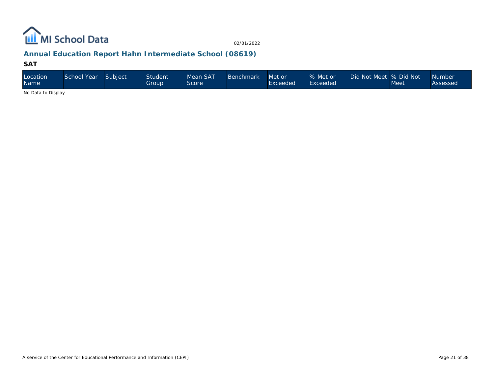

# **Annual Education Report Hahn Intermediate School (08619)**

#### **SAT**

| Location<br><b>Name</b> | School Year | Subject | <b>Student</b><br>Group | Mean SAT<br>Score | Benchmark | Met or<br>Exceeded | % Met or<br>Exceeded | Did Not Meet  % Did Not \ | Meet | Number<br>Assessed |
|-------------------------|-------------|---------|-------------------------|-------------------|-----------|--------------------|----------------------|---------------------------|------|--------------------|
| No Data to Disalact     |             |         |                         |                   |           |                    |                      |                           |      |                    |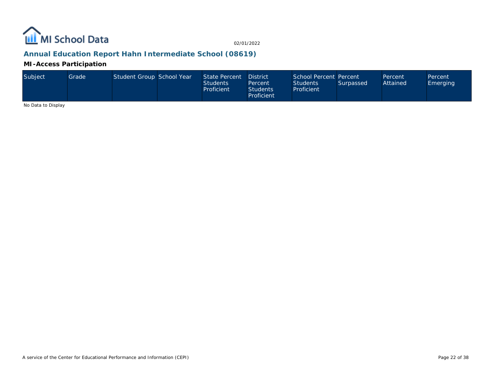

# **Annual Education Report Hahn Intermediate School (08619)**

**MI-Access Participation**

| Subject | Grade | Student Group School Year |  | State Percent<br><b>Students</b><br>Proficient | District<br>Percent<br>Students <sup>1</sup><br>Proficient | School Percent Percent<br><b>Students</b><br>Proficient | Surpassed | <b>Percent</b><br>Attained | Percent<br>Emerging |
|---------|-------|---------------------------|--|------------------------------------------------|------------------------------------------------------------|---------------------------------------------------------|-----------|----------------------------|---------------------|
|---------|-------|---------------------------|--|------------------------------------------------|------------------------------------------------------------|---------------------------------------------------------|-----------|----------------------------|---------------------|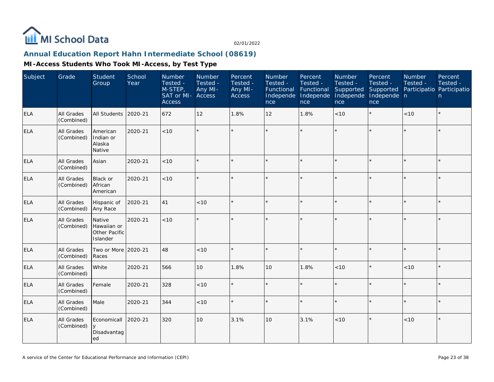

# **Annual Education Report Hahn Intermediate School (08619)**

| Subject    | Grade                    | <b>Student</b><br>Group                            | School<br>Year | Number<br>Tested -<br>M-STEP,<br>SAT or MI-<br><b>Access</b> | Number<br>Tested -<br>Any MI-<br>Access | Percent<br>Tested -<br>Any MI-<br>Access | Number<br>Tested -<br>Functional<br>Independe<br>nce | Percent<br>Tested -<br>Functional<br>Independe<br>nce | Number<br>Tested -<br>Supported<br>Independe<br>nce | Percent<br>Tested -<br>Supported<br>Independe n<br>nce | Number<br>Tested -<br>Participatio Participatio | Percent<br>Tested -<br>n |
|------------|--------------------------|----------------------------------------------------|----------------|--------------------------------------------------------------|-----------------------------------------|------------------------------------------|------------------------------------------------------|-------------------------------------------------------|-----------------------------------------------------|--------------------------------------------------------|-------------------------------------------------|--------------------------|
| ELA        | All Grades<br>(Combined) | All Students                                       | 2020-21        | 672                                                          | 12                                      | 1.8%                                     | 12                                                   | 1.8%                                                  | <10                                                 | $\star$                                                | < 10                                            | $\star$                  |
| <b>ELA</b> | All Grades<br>(Combined) | American<br>Indian or<br>Alaska<br>Native          | 2020-21        | < 10                                                         |                                         |                                          |                                                      |                                                       |                                                     |                                                        |                                                 | $\star$                  |
| <b>ELA</b> | All Grades<br>(Combined) | Asian                                              | 2020-21        | < 10                                                         |                                         |                                          |                                                      |                                                       | ÷                                                   |                                                        | $\star$                                         | $\star$                  |
| <b>ELA</b> | All Grades<br>(Combined) | <b>Black or</b><br>African<br>American             | 2020-21        | < 10                                                         |                                         |                                          |                                                      |                                                       |                                                     |                                                        |                                                 | $\star$                  |
| <b>ELA</b> | All Grades<br>(Combined) | Hispanic of<br>Any Race                            | 2020-21        | 41                                                           | < 10                                    |                                          |                                                      |                                                       |                                                     |                                                        |                                                 | $\star$                  |
| <b>ELA</b> | All Grades<br>(Combined) | Native<br>Hawaiian or<br>Other Pacific<br>Islander | 2020-21        | < 10                                                         |                                         |                                          |                                                      | $\star$                                               |                                                     | $\star$                                                |                                                 | ÷.                       |
| <b>ELA</b> | All Grades<br>(Combined) | Two or More<br>Races                               | 2020-21        | 48                                                           | < 10                                    |                                          |                                                      |                                                       |                                                     |                                                        |                                                 | $\star$                  |
| ELA        | All Grades<br>(Combined) | White                                              | 2020-21        | 566                                                          | 10                                      | 1.8%                                     | 10                                                   | 1.8%                                                  | < 10                                                | $\star$                                                | < 10                                            | $\star$                  |
| <b>ELA</b> | All Grades<br>(Combined) | Female                                             | 2020-21        | 328                                                          | < 10                                    |                                          |                                                      |                                                       | ÷                                                   | $\star$                                                | $\star$                                         | $\star$                  |
| <b>ELA</b> | All Grades<br>(Combined) | Male                                               | 2020-21        | 344                                                          | < 10                                    |                                          |                                                      |                                                       | ÷                                                   |                                                        |                                                 | $\star$                  |
| <b>ELA</b> | All Grades<br>(Combined) | Economicall<br>y<br>Disadvantag<br>ed              | 2020-21        | 320                                                          | 10                                      | 3.1%                                     | 10                                                   | 3.1%                                                  | < 10                                                | $\star$                                                | < 10                                            | $\star$                  |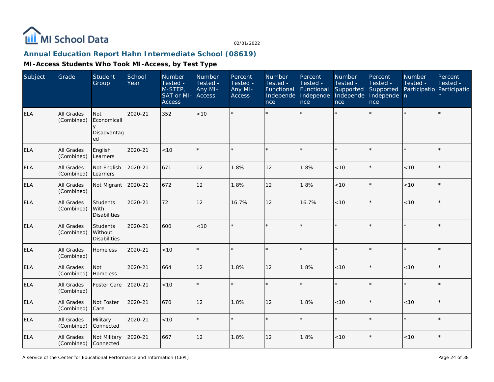

# **Annual Education Report Hahn Intermediate School (08619)**

| Subject    | Grade                           | <b>Student</b><br>Group                        | School<br>Year | Number<br>Tested -<br>M-STEP,<br>SAT or MI-<br><b>Access</b> | Number<br>Tested -<br>Any MI-<br>Access | Percent<br>Tested -<br>Any MI-<br><b>Access</b> | Number<br>Tested -<br>Functional<br>Independe<br>nce | Percent<br>Tested -<br>Functional<br>Independe<br>nce | Number<br>Tested -<br>Supported<br>Independe<br>nce | Percent<br>Tested -<br>Supported<br>Independe n<br>nce | Number<br>Tested -<br>Participatio Participatio | Percent<br>Tested -<br>n |
|------------|---------------------------------|------------------------------------------------|----------------|--------------------------------------------------------------|-----------------------------------------|-------------------------------------------------|------------------------------------------------------|-------------------------------------------------------|-----------------------------------------------------|--------------------------------------------------------|-------------------------------------------------|--------------------------|
| <b>ELA</b> | <b>All Grades</b><br>(Combined) | Not<br>Economicall<br>Disadvantag<br>ed        | 2020-21        | 352                                                          | <10                                     |                                                 |                                                      |                                                       |                                                     |                                                        |                                                 | $\star$                  |
| <b>ELA</b> | All Grades<br>(Combined)        | English<br>Learners                            | 2020-21        | < 10                                                         |                                         |                                                 |                                                      |                                                       | ÷                                                   | $\star$                                                | $\star$                                         | $\star$                  |
| <b>ELA</b> | All Grades<br>(Combined)        | Not English<br>Learners                        | 2020-21        | 671                                                          | 12                                      | 1.8%                                            | 12                                                   | 1.8%                                                  | < 10                                                | $\star$                                                | < 10                                            | $\star$                  |
| ELA        | All Grades<br>(Combined)        | Not Migrant                                    | 2020-21        | 672                                                          | 12                                      | 1.8%                                            | 12                                                   | 1.8%                                                  | < 10                                                | $\star$                                                | < 10                                            | $\star$                  |
| ELA        | All Grades<br>(Combined)        | <b>Students</b><br>With<br><b>Disabilities</b> | 2020-21        | 72                                                           | 12                                      | 16.7%                                           | 12                                                   | 16.7%                                                 | < 10                                                | $\star$                                                | < 10                                            | $\star$                  |
| <b>ELA</b> | All Grades<br>(Combined)        | Students<br>Without<br><b>Disabilities</b>     | 2020-21        | 600                                                          | <10                                     |                                                 | $\star$                                              | $\star$                                               | ÷                                                   | $\star$                                                | $\star$                                         | $\star$                  |
| ELA        | All Grades<br>(Combined)        | Homeless                                       | 2020-21        | < 10                                                         |                                         |                                                 |                                                      |                                                       | ÷                                                   | $\star$                                                | $\star$                                         | $\star$                  |
| ELA        | All Grades<br>(Combined)        | Not<br>Homeless                                | 2020-21        | 664                                                          | 12                                      | 1.8%                                            | 12                                                   | 1.8%                                                  | < 10                                                | $\star$                                                | < 10                                            | $\star$                  |
| ELA        | All Grades<br>(Combined)        | Foster Care                                    | 2020-21        | < 10                                                         | $\star$                                 |                                                 |                                                      |                                                       | ÷                                                   | $\star$                                                |                                                 | $\star$                  |
| <b>ELA</b> | All Grades<br>(Combined)        | Not Foster<br>Care                             | 2020-21        | 670                                                          | 12                                      | 1.8%                                            | 12                                                   | 1.8%                                                  | < 10                                                | $\star$                                                | < 10                                            | $\star$                  |
| <b>ELA</b> | All Grades<br>(Combined)        | Military<br>Connected                          | 2020-21        | < 10                                                         |                                         |                                                 |                                                      |                                                       |                                                     |                                                        |                                                 | $\star$                  |
| <b>ELA</b> | All Grades<br>(Combined)        | Not Military<br>Connected                      | 2020-21        | 667                                                          | 12                                      | 1.8%                                            | 12                                                   | 1.8%                                                  | < 10                                                | $\star$                                                | < 10                                            | $\star$                  |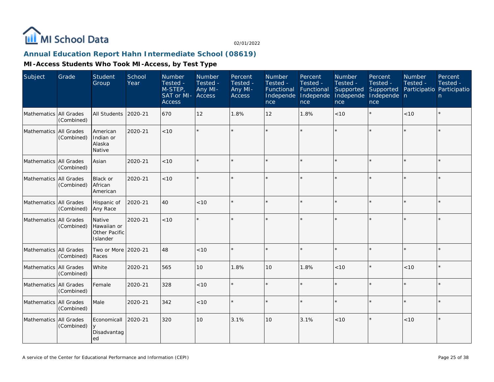

# **Annual Education Report Hahn Intermediate School (08619)**

| Subject                | Grade      | Student<br>Group                                   | School<br>Year | Number<br>Tested -<br>M-STEP,<br>SAT or MI-<br><b>Access</b> | Number<br>Tested -<br>Any MI-<br>Access | Percent<br>Tested -<br>Any MI-<br><b>Access</b> | Number<br>Tested -<br>Functional<br>Independe<br>nce | Percent<br>Tested -<br>Functional<br>Independe<br>nce | Number<br>Tested -<br>Supported<br>Independe<br>nce | Percent<br>Tested -<br>Supported<br>Independe n<br>nce | <b>Number</b><br>Tested - | Percent<br>Tested -<br>Participatio Participatio<br>n |
|------------------------|------------|----------------------------------------------------|----------------|--------------------------------------------------------------|-----------------------------------------|-------------------------------------------------|------------------------------------------------------|-------------------------------------------------------|-----------------------------------------------------|--------------------------------------------------------|---------------------------|-------------------------------------------------------|
| Mathematics All Grades | (Combined) | All Students                                       | 2020-21        | 670                                                          | 12                                      | 1.8%                                            | 12                                                   | 1.8%                                                  | <10                                                 | $\star$                                                | < 10                      | $\star$                                               |
| Mathematics All Grades | (Combined) | American<br>Indian or<br>Alaska<br>Native          | 2020-21        | < 10                                                         | $\star$                                 |                                                 |                                                      |                                                       |                                                     | $\star$                                                |                           | $\star$                                               |
| Mathematics All Grades | (Combined) | Asian                                              | 2020-21        | < 10                                                         | $\star$                                 |                                                 |                                                      | $\star$                                               |                                                     | $\star$                                                | $\star$                   | $\star$                                               |
| Mathematics All Grades | (Combined) | Black or<br>African<br>American                    | 2020-21        | $<10$                                                        | $\star$                                 |                                                 |                                                      | $\star$                                               |                                                     |                                                        |                           | $\star$                                               |
| Mathematics All Grades | (Combined) | Hispanic of<br>Any Race                            | 2020-21        | 40                                                           | < 10                                    |                                                 |                                                      | $\star$                                               |                                                     | $\star$                                                |                           | $\star$                                               |
| Mathematics All Grades | (Combined) | Native<br>Hawaiian or<br>Other Pacific<br>Islander | 2020-21        | < 10                                                         | $\star$                                 |                                                 |                                                      | $\star$                                               |                                                     | $\star$                                                |                           | $\star$                                               |
| Mathematics All Grades | (Combined) | Two or More 2020-21<br>Races                       |                | 48                                                           | < 10                                    |                                                 |                                                      | $\star$                                               |                                                     |                                                        |                           | $\star$                                               |
| Mathematics All Grades | (Combined) | White                                              | 2020-21        | 565                                                          | 10                                      | 1.8%                                            | 10                                                   | 1.8%                                                  | < 10                                                | $\star$                                                | < 10                      | $\star$                                               |
| Mathematics All Grades | (Combined) | Female                                             | 2020-21        | 328                                                          | < 10                                    |                                                 |                                                      |                                                       | ÷                                                   | $\star$                                                | $\star$                   | $\star$                                               |
| Mathematics All Grades | (Combined) | Male                                               | 2020-21        | 342                                                          | $<10$                                   |                                                 |                                                      | $\star$                                               | $\star$                                             |                                                        |                           | $\star$                                               |
| Mathematics All Grades | (Combined) | Economicall<br>y<br>Disadvantag<br>ed              | 2020-21        | 320                                                          | 10                                      | 3.1%                                            | 10                                                   | 3.1%                                                  | < 10                                                | $\star$                                                | < 10                      | $\star$                                               |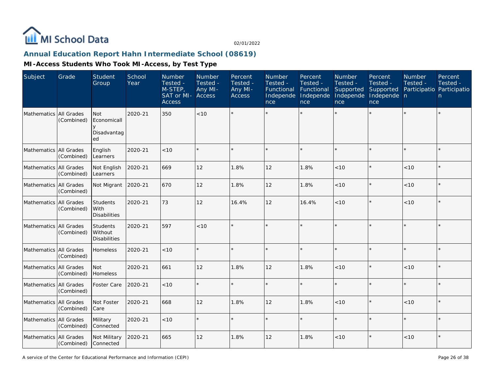

# **Annual Education Report Hahn Intermediate School (08619)**

| Subject                | Grade                           | Student<br>Group                               | School<br>Year | Number<br>Tested -<br>M-STEP,<br>SAT or MI-<br><b>Access</b> | Number<br>Tested -<br>Any MI-<br>Access | Percent<br>Tested -<br>Any MI-<br><b>Access</b> | Number<br>Tested -<br>Functional<br>Independe<br>nce | Percent<br>Tested -<br>Functional<br>Independe<br>nce | Number<br>Tested -<br>Supported<br>Independe<br>nce | Percent<br>Tested -<br>Supported<br>Independe n<br>nce | Number<br>Tested -<br>Participatio Participatio | Percent<br>Tested -<br>n |
|------------------------|---------------------------------|------------------------------------------------|----------------|--------------------------------------------------------------|-----------------------------------------|-------------------------------------------------|------------------------------------------------------|-------------------------------------------------------|-----------------------------------------------------|--------------------------------------------------------|-------------------------------------------------|--------------------------|
| Mathematics All Grades | (Combined)                      | <b>Not</b><br>Economicall<br>Disadvantag<br>ed | 2020-21        | 350                                                          | < 10                                    |                                                 |                                                      |                                                       |                                                     |                                                        |                                                 | $\star$                  |
| Mathematics            | All Grades<br>(Combined)        | English<br>Learners                            | 2020-21        | < 10                                                         |                                         |                                                 |                                                      | $\star$                                               |                                                     | $\star$                                                | $\star$                                         | $\star$                  |
| Mathematics All Grades | (Combined)                      | Not English<br>Learners                        | 2020-21        | 669                                                          | 12                                      | 1.8%                                            | 12                                                   | 1.8%                                                  | < 10                                                | $\star$                                                | < 10                                            | $\star$                  |
| Mathematics All Grades | (Combined)                      | Not Migrant 2020-21                            |                | 670                                                          | 12                                      | 1.8%                                            | 12                                                   | 1.8%                                                  | < 10                                                | $\star$                                                | < 10                                            | $\star$                  |
| Mathematics All Grades | (Combined)                      | Students<br>With<br><b>Disabilities</b>        | 2020-21        | 73                                                           | 12                                      | 16.4%                                           | 12                                                   | 16.4%                                                 | < 10                                                | $\star$                                                | < 10                                            | $\star$                  |
| Mathematics            | All Grades<br>(Combined)        | Students<br>Without<br><b>Disabilities</b>     | 2020-21        | 597                                                          | <10                                     |                                                 |                                                      |                                                       |                                                     | $\star$                                                | $\star$                                         | $\star$                  |
| Mathematics            | All Grades<br>(Combined)        | Homeless                                       | 2020-21        | < 10                                                         |                                         |                                                 |                                                      | $\star$                                               | $\star$                                             | $\star$                                                | $\star$                                         | $\star$                  |
| Mathematics All Grades | (Combined)                      | Not<br>Homeless                                | 2020-21        | 661                                                          | 12                                      | 1.8%                                            | 12                                                   | 1.8%                                                  | < 10                                                | $\star$                                                | < 10                                            | $\star$                  |
| Mathematics All Grades | (Combined)                      | <b>Foster Care</b>                             | 2020-21        | < 10                                                         |                                         |                                                 |                                                      |                                                       |                                                     | $\star$                                                | ×                                               | $\star$                  |
| Mathematics All Grades | (Combined)                      | Not Foster<br>Care                             | 2020-21        | 668                                                          | 12                                      | 1.8%                                            | 12                                                   | 1.8%                                                  | < 10                                                | $\star$                                                | $<10$                                           | $\star$                  |
| Mathematics All Grades | (Combined)                      | Military<br>Connected                          | 2020-21        | < 10                                                         |                                         |                                                 |                                                      |                                                       |                                                     | $\star$                                                |                                                 | $\star$                  |
| Mathematics            | <b>All Grades</b><br>(Combined) | Not Military<br>Connected                      | 2020-21        | 665                                                          | 12                                      | 1.8%                                            | 12                                                   | 1.8%                                                  | < 10                                                | $\star$                                                | < 10                                            | $\star$                  |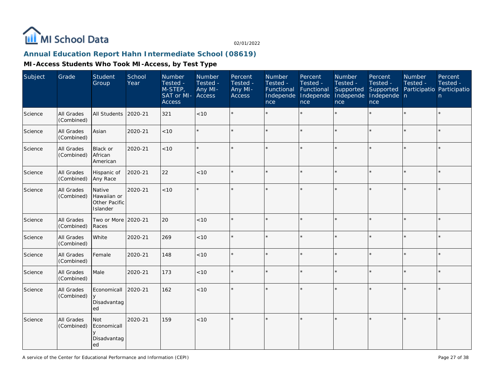

# **Annual Education Report Hahn Intermediate School (08619)**

| Subject | Grade                    | <b>Student</b><br>Group                            | School<br>Year | Number<br>Tested -<br>M-STEP,<br>SAT or MI- Access<br><b>Access</b> | Number<br>Tested -<br>Any MI- | Percent<br>Tested -<br>Any MI-<br>Access | Number<br>Tested -<br>Functional<br>Independe<br>nce | Percent<br>Tested -<br>Functional<br>Independe<br>nce | Number<br>Tested -<br>Supported<br>Independe<br>nce | Percent<br>Tested -<br>Supported<br>Independe n<br>nce | Number<br>Tested - | Percent<br>Tested -<br>Participatio Participatio<br>$\mathsf{n}$ |
|---------|--------------------------|----------------------------------------------------|----------------|---------------------------------------------------------------------|-------------------------------|------------------------------------------|------------------------------------------------------|-------------------------------------------------------|-----------------------------------------------------|--------------------------------------------------------|--------------------|------------------------------------------------------------------|
| Science | All Grades<br>(Combined) | All Students                                       | 2020-21        | 321                                                                 | < 10                          |                                          |                                                      |                                                       |                                                     | $\star$                                                | $\star$            | $\star$                                                          |
| Science | All Grades<br>(Combined) | Asian                                              | 2020-21        | < 10                                                                |                               |                                          |                                                      |                                                       |                                                     | $\star$                                                |                    | $\star$                                                          |
| Science | All Grades<br>(Combined) | Black or<br>African<br>American                    | 2020-21        | <10                                                                 |                               |                                          |                                                      | $\star$                                               | $\star$                                             | $\star$                                                | $\star$            | $\star$                                                          |
| Science | All Grades<br>(Combined) | Hispanic of<br>Any Race                            | 2020-21        | 22                                                                  | $<10$                         |                                          |                                                      |                                                       |                                                     | $\star$                                                | $\star$            | $\star$                                                          |
| Science | All Grades<br>(Combined) | Native<br>Hawaiian or<br>Other Pacific<br>Islander | 2020-21        | < 10                                                                |                               |                                          |                                                      |                                                       |                                                     | ÷                                                      |                    | $\star$                                                          |
| Science | All Grades<br>(Combined) | Two or More 2020-21<br>Races                       |                | 20                                                                  | < 10                          |                                          |                                                      |                                                       |                                                     | $\star$                                                | $\star$            | $\star$                                                          |
| Science | All Grades<br>(Combined) | White                                              | 2020-21        | 269                                                                 | < 10                          |                                          |                                                      |                                                       |                                                     | $\star$                                                | $\star$            | $\star$                                                          |
| Science | All Grades<br>(Combined) | Female                                             | 2020-21        | 148                                                                 | <10                           |                                          |                                                      | $\star$                                               |                                                     | ×.                                                     |                    | $\star$                                                          |
| Science | All Grades<br>(Combined) | Male                                               | 2020-21        | 173                                                                 | < 10                          |                                          |                                                      |                                                       |                                                     | ×.                                                     | ×                  | $\star$                                                          |
| Science | All Grades<br>(Combined) | Economicall<br>$\mathsf{v}$<br>Disadvantag<br>ed   | 2020-21        | 162                                                                 | < 10                          |                                          |                                                      |                                                       |                                                     | $\star$                                                | $\star$            | $\star$                                                          |
| Science | All Grades<br>(Combined) | Not<br>Economicall<br>Disadvantag<br>ed            | 2020-21        | 159                                                                 | < 10                          |                                          |                                                      |                                                       |                                                     | ×.                                                     |                    | $\star$                                                          |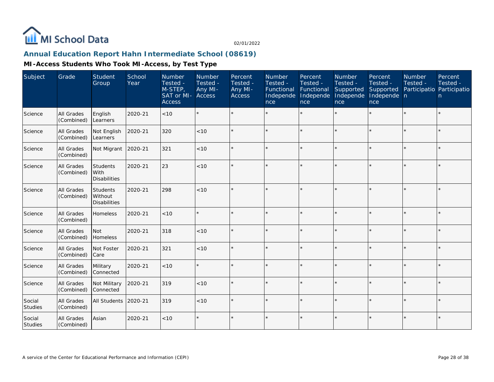

# **Annual Education Report Hahn Intermediate School (08619)**

| Subject                  | Grade                           | Student<br>Group                                 | School<br>Year | Number<br>Tested -<br>M-STEP,<br>SAT or MI-<br><b>Access</b> | Number<br>Tested -<br>Any MI-<br><b>Access</b> | Percent<br>Tested -<br>Any MI-<br><b>Access</b> | Number<br>Tested -<br>Functional<br>Independe<br>nce | Percent<br>Tested -<br>Functional<br>Independe<br>nce | Number<br>Tested -<br>Supported<br>Independe<br>nce | Percent<br>Tested -<br>Supported<br>Independe n<br>nce | Number<br>Tested -<br>Participatio Participatio | Percent<br>Tested -<br>n. |
|--------------------------|---------------------------------|--------------------------------------------------|----------------|--------------------------------------------------------------|------------------------------------------------|-------------------------------------------------|------------------------------------------------------|-------------------------------------------------------|-----------------------------------------------------|--------------------------------------------------------|-------------------------------------------------|---------------------------|
| Science                  | All Grades<br>(Combined)        | English<br>Learners                              | 2020-21        | $<10$                                                        |                                                |                                                 |                                                      |                                                       |                                                     |                                                        |                                                 | $\star$                   |
| Science                  | All Grades<br>(Combined)        | Not English<br>Learners                          | 2020-21        | 320                                                          | < 10                                           |                                                 |                                                      |                                                       |                                                     | ×.                                                     |                                                 | $\star$                   |
| Science                  | All Grades<br>(Combined)        | Not Migrant                                      | 2020-21        | 321                                                          | < 10                                           |                                                 |                                                      |                                                       | $\star$                                             |                                                        |                                                 | $\star$                   |
| Science                  | <b>All Grades</b><br>(Combined) | <b>Students</b><br>l With<br><b>Disabilities</b> | 2020-21        | 23                                                           | < 10                                           |                                                 |                                                      |                                                       |                                                     |                                                        |                                                 | $\star$                   |
| Science                  | All Grades<br>(Combined)        | Students<br>Without<br><b>Disabilities</b>       | 2020-21        | 298                                                          | < 10                                           | $\star$                                         |                                                      |                                                       |                                                     |                                                        |                                                 | $\star$                   |
| Science                  | All Grades<br>(Combined)        | Homeless                                         | 2020-21        | < 10                                                         |                                                |                                                 |                                                      |                                                       |                                                     |                                                        |                                                 | $\star$                   |
| Science                  | All Grades<br>(Combined)        | Not<br>Homeless                                  | 2020-21        | 318                                                          | < 10                                           | $\star$                                         |                                                      |                                                       |                                                     |                                                        |                                                 | $\star$                   |
| Science                  | All Grades<br>(Combined)        | Not Foster<br>Care                               | 2020-21        | 321                                                          | < 10                                           |                                                 |                                                      |                                                       |                                                     |                                                        |                                                 | $\star$                   |
| Science                  | All Grades<br>(Combined)        | Military<br>Connected                            | 2020-21        | < 10                                                         |                                                |                                                 |                                                      |                                                       |                                                     |                                                        |                                                 | $\star$                   |
| Science                  | <b>All Grades</b><br>(Combined) | Not Military<br>Connected                        | 2020-21        | 319                                                          | < 10                                           |                                                 |                                                      |                                                       |                                                     |                                                        |                                                 | $\star$                   |
| Social<br><b>Studies</b> | All Grades<br>(Combined)        | <b>All Students</b>                              | 2020-21        | 319                                                          | < 10                                           | $\star$                                         |                                                      |                                                       |                                                     |                                                        | $\star$                                         | $\star$                   |
| Social<br>Studies        | <b>All Grades</b><br>(Combined) | Asian                                            | 2020-21        | < 10                                                         |                                                |                                                 |                                                      |                                                       | $\star$                                             |                                                        | $\star$                                         | $\star$                   |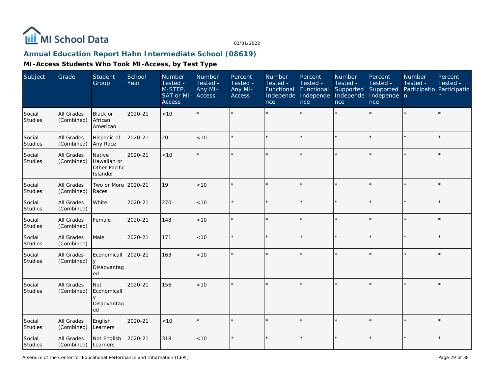

# **Annual Education Report Hahn Intermediate School (08619)**

| Subject                  | Grade                           | <b>Student</b><br>Group                            | School<br>Year | Number<br>Tested -<br>M-STEP,<br>SAT or MI-<br><b>Access</b> | Number<br>Tested -<br>Any MI-<br>Access | Percent<br>Tested -<br>Any MI-<br><b>Access</b> | Number<br>Tested -<br>Functional<br>Independe<br>nce | Percent<br>Tested -<br>Functional<br>Independe<br>nce | Number<br>Tested -<br>Supported<br>Independe<br>nce | Percent<br>Tested -<br>Supported<br>Independe n<br>nce | Number<br>Tested - | Percent<br>Tested -<br>Participatio Participatio<br>n |
|--------------------------|---------------------------------|----------------------------------------------------|----------------|--------------------------------------------------------------|-----------------------------------------|-------------------------------------------------|------------------------------------------------------|-------------------------------------------------------|-----------------------------------------------------|--------------------------------------------------------|--------------------|-------------------------------------------------------|
| Social<br><b>Studies</b> | <b>All Grades</b><br>(Combined) | Black or<br>African<br>American                    | 2020-21        | < 10                                                         | $\star$                                 |                                                 |                                                      |                                                       |                                                     |                                                        |                    | $\star$                                               |
| Social<br>Studies        | All Grades<br>(Combined)        | Hispanic of<br>Any Race                            | 2020-21        | 20                                                           | < 10                                    |                                                 |                                                      | $\star$                                               |                                                     | $\star$                                                |                    | $\star$                                               |
| Social<br><b>Studies</b> | All Grades<br>(Combined)        | Native<br>Hawaiian or<br>Other Pacific<br>Islander | 2020-21        | < 10                                                         | $\star$                                 |                                                 |                                                      |                                                       |                                                     |                                                        |                    | ×                                                     |
| Social<br>Studies        | All Grades<br>(Combined)        | Two or More 2020-21<br>Races                       |                | 19                                                           | < 10                                    |                                                 |                                                      | $\star$                                               |                                                     |                                                        |                    | $\star$                                               |
| Social<br><b>Studies</b> | All Grades<br>(Combined)        | White                                              | 2020-21        | 270                                                          | < 10                                    |                                                 |                                                      | $\star$                                               |                                                     | $\star$                                                |                    | $\star$                                               |
| Social<br>Studies        | <b>All Grades</b><br>(Combined) | Female                                             | 2020-21        | 148                                                          | < 10                                    |                                                 |                                                      | $\star$                                               |                                                     | $\star$                                                |                    | $\star$                                               |
| Social<br>Studies        | All Grades<br>(Combined)        | Male                                               | 2020-21        | 171                                                          | < 10                                    |                                                 |                                                      |                                                       |                                                     | $\star$                                                |                    | $\star$                                               |
| Social<br>Studies        | All Grades<br>(Combined)        | Economicall<br>$\vee$<br>Disadvantag<br>ed         | 2020-21        | 163                                                          | $<10$                                   |                                                 |                                                      |                                                       |                                                     |                                                        |                    | $\star$                                               |
| Social<br>Studies        | <b>All Grades</b><br>(Combined) | <b>Not</b><br>Economicall<br>Disadvantag<br>ed     | 2020-21        | 156                                                          | < 10                                    |                                                 |                                                      |                                                       |                                                     |                                                        |                    | k.                                                    |
| Social<br><b>Studies</b> | All Grades<br>(Combined)        | English<br>Learners                                | 2020-21        | $<10$                                                        | $\star$                                 |                                                 |                                                      | $\star$                                               |                                                     | $\star$                                                |                    | $\star$                                               |
| Social<br>Studies        | All Grades<br>(Combined)        | Not English<br>Learners                            | 2020-21        | 318                                                          | < 10                                    |                                                 |                                                      |                                                       |                                                     |                                                        |                    | $\star$                                               |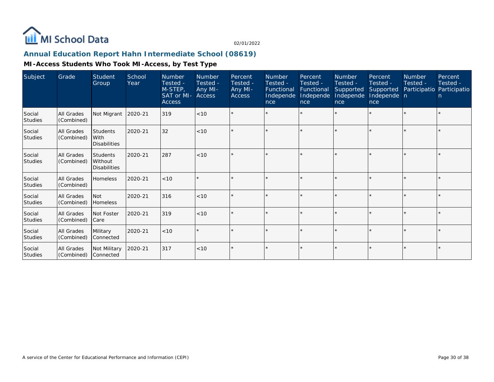

# **Annual Education Report Hahn Intermediate School (08619)**

| Subject                  | Grade                           | Student<br>Group                                  | School<br>Year | Number<br>Tested -<br>M-STEP,<br>SAT or MI-<br><b>Access</b> | Number<br>Tested -<br>Any MI-<br><b>Access</b> | Percent<br>Tested -<br>Any MI-<br><b>Access</b> | <b>Number</b><br>Tested -<br>Functional<br>Independe<br>nce | Percent<br>Tested -<br>Functional<br>Independe<br>nce | Number<br>Tested -<br>Supported<br>Independe<br>nce | Percent<br>Tested -<br>Supported<br>Independe n<br>nce | Number<br>Tested -<br>Participatio Participatio | Percent<br>Tested -<br>$\mathsf{n}$ |
|--------------------------|---------------------------------|---------------------------------------------------|----------------|--------------------------------------------------------------|------------------------------------------------|-------------------------------------------------|-------------------------------------------------------------|-------------------------------------------------------|-----------------------------------------------------|--------------------------------------------------------|-------------------------------------------------|-------------------------------------|
| Social<br><b>Studies</b> | <b>All Grades</b><br>(Combined) | Not Migrant                                       | 2020-21        | 319                                                          | < 10                                           |                                                 |                                                             |                                                       |                                                     |                                                        |                                                 | $\star$                             |
| Social<br><b>Studies</b> | All Grades<br>(Combined)        | <b>Students</b><br>With<br><b>Disabilities</b>    | 2020-21        | 32                                                           | < 10                                           |                                                 |                                                             |                                                       |                                                     |                                                        |                                                 | $\star$                             |
| Social<br><b>Studies</b> | <b>All Grades</b><br>(Combined) | <b>Students</b><br>Without<br><b>Disabilities</b> | 2020-21        | 287                                                          | < 10                                           |                                                 |                                                             | $\star$                                               |                                                     |                                                        |                                                 | $\star$                             |
| Social<br><b>Studies</b> | <b>All Grades</b><br>(Combined) | Homeless                                          | 2020-21        | < 10                                                         |                                                |                                                 |                                                             |                                                       |                                                     |                                                        |                                                 | $\star$                             |
| Social<br><b>Studies</b> | <b>All Grades</b><br>(Combined) | <b>Not</b><br>Homeless                            | 2020-21        | 316                                                          | < 10                                           |                                                 |                                                             | ÷                                                     |                                                     |                                                        |                                                 | $\star$                             |
| Social<br><b>Studies</b> | <b>All Grades</b><br>(Combined) | Not Foster<br>Care                                | 2020-21        | 319                                                          | < 10                                           | $\star$                                         |                                                             | $\star$                                               |                                                     |                                                        |                                                 | $\star$                             |
| Social<br><b>Studies</b> | All Grades<br>(Combined)        | Military<br>Connected                             | 2020-21        | < 10                                                         |                                                |                                                 |                                                             |                                                       |                                                     |                                                        |                                                 | $\star$                             |
| Social<br>Studies        | <b>All Grades</b><br>(Combined) | Not Military<br>Connected                         | 2020-21        | 317                                                          | < 10                                           | $\star$                                         |                                                             | $\star$                                               |                                                     |                                                        |                                                 | $\star$                             |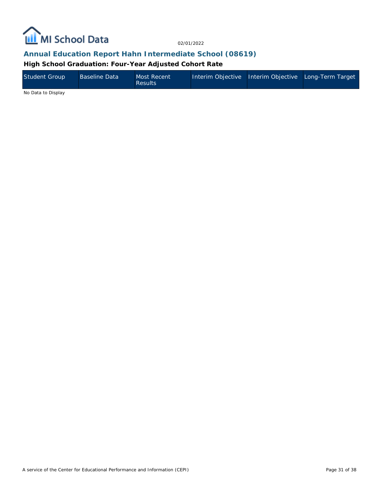

# **Annual Education Report Hahn Intermediate School (08619)**

**High School Graduation: Four-Year Adjusted Cohort Rate**

| Student Group | <b>Baseline Data</b> | Most Recent<br><b>Results</b> | Interim Objective Interim Objective Long-Term Target |  |
|---------------|----------------------|-------------------------------|------------------------------------------------------|--|
| .             |                      |                               |                                                      |  |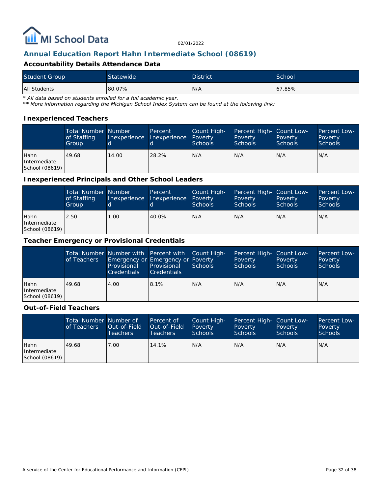

# **Annual Education Report Hahn Intermediate School (08619)**

#### **Accountability Details Attendance Data**

| <b>Student Group</b> | <b>Statewide</b> | <b>District</b> | School |
|----------------------|------------------|-----------------|--------|
| All Students         | 80.07%           | N/A             | 67.85% |

*\* All data based on students enrolled for a full academic year.*

*\*\* More information regarding the Michigan School Index System can be found at the following link:*

#### **Inexperienced Teachers**

|                                        | <b>Total Number Number</b><br>of Staffing<br>Group | Inexperience | Percent<br>Inexperience | Count High-<br>Poverty<br><b>Schools</b> | Percent High- Count Low-<br>Poverty<br><b>Schools</b> | Poverty<br><b>Schools</b> | Percent Low-<br>Poverty<br><b>Schools</b> |
|----------------------------------------|----------------------------------------------------|--------------|-------------------------|------------------------------------------|-------------------------------------------------------|---------------------------|-------------------------------------------|
| Hahn<br>Intermediate<br>School (08619) | 49.68                                              | 14.00        | 28.2%                   | IN/A                                     | N/A                                                   | N/A                       | IN/A                                      |

#### **Inexperienced Principals and Other School Leaders**

|                                        | <b>Total Number Number</b><br>of Staffing<br>Group | 'd   | Percent<br>Inexperience Inexperience | Count High-<br>Poverty<br><b>Schools</b> | Percent High- Count Low-<br>Poverty<br><b>Schools</b> | Poverty<br><b>Schools</b> | Percent Low-<br>Poverty<br><b>Schools</b> |
|----------------------------------------|----------------------------------------------------|------|--------------------------------------|------------------------------------------|-------------------------------------------------------|---------------------------|-------------------------------------------|
| Hahn<br>Intermediate<br>School (08619) | 2.50                                               | 1.00 | 40.0%                                | N/A                                      | N/A                                                   | N/A                       | IN/A                                      |

#### **Teacher Emergency or Provisional Credentials**

|                                        | of Teachers | Total Number Number with Percent with Count High-<br>Emergency or Emergency or Poverty<br>Provisional<br><b>Credentials</b> | Provisional<br><b>Credentials</b> | Schools | Percent High- Count Low-<br>Poverty<br><b>Schools</b> | Poverty<br>Schools | Percent Low-<br>Poverty<br>Schools |
|----------------------------------------|-------------|-----------------------------------------------------------------------------------------------------------------------------|-----------------------------------|---------|-------------------------------------------------------|--------------------|------------------------------------|
| Hahn<br>Intermediate<br>School (08619) | 49.68       | 4.00                                                                                                                        | 8.1%                              | IN/A    | N/A                                                   | N/A                | IN/A                               |

#### **Out-of-Field Teachers**

|                                        | Total Number Number of<br>of Teachers | Out-of-Field<br><b>Teachers</b> | Percent of<br>Out-of-Field<br>Teachers | Count High-<br>Poverty<br>Schools | Percent High- Count Low-<br>Poverty<br><b>Schools</b> | Poverty<br><b>Schools</b> | Percent Low-<br>Poverty<br>Schools |
|----------------------------------------|---------------------------------------|---------------------------------|----------------------------------------|-----------------------------------|-------------------------------------------------------|---------------------------|------------------------------------|
| Hahn<br>Intermediate<br>School (08619) | 49.68                                 | 7.00                            | 14.1%                                  | N/A                               | N/A                                                   | N/A                       | IN/A                               |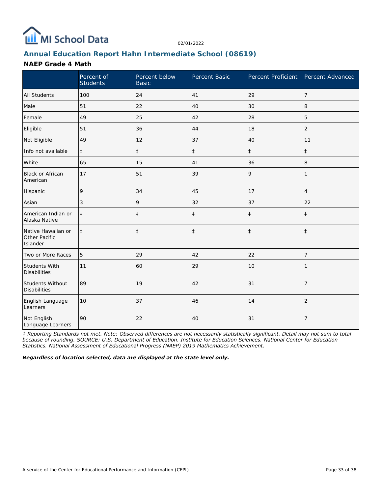

# **Annual Education Report Hahn Intermediate School (08619)**

#### **NAEP Grade 4 Math**

|                                                 | Percent of<br><b>Students</b> | Percent below<br><b>Basic</b> | Percent Basic | Percent Proficient | Percent Advanced |
|-------------------------------------------------|-------------------------------|-------------------------------|---------------|--------------------|------------------|
| <b>All Students</b>                             | 100                           | 24                            | 41            | 29                 | $\overline{7}$   |
| Male                                            | 51                            | 22                            | 40            | 30                 | 8                |
| Female                                          | 49                            | 25                            | 42            | 28                 | 5                |
| Eligible                                        | 51                            | 36                            | 44            | 18                 | $\overline{2}$   |
| Not Eligible                                    | 49                            | 12                            | 37            | 40                 | 11               |
| Info not available                              | $\ddagger$                    | $\ddagger$                    | $\ddagger$    | $\ddagger$         | $\ddagger$       |
| White                                           | 65                            | 15                            | 41            | 36                 | 8                |
| <b>Black or African</b><br>American             | 17                            | 51                            | 39            | 9                  | 1                |
| Hispanic                                        | 9                             | 34                            | 45            | 17                 | $\overline{4}$   |
| Asian                                           | 3                             | 9                             | 32            | 37                 | 22               |
| American Indian or<br>Alaska Native             | $\ddagger$                    | $\ddagger$                    | $\ddagger$    | $\ddagger$         | $\ddagger$       |
| Native Hawaiian or<br>Other Pacific<br>Islander | $\ddagger$                    | $\ddagger$                    | $\ddagger$    | $\ddagger$         | $\ddagger$       |
| Two or More Races                               | 5                             | 29                            | 42            | 22                 | 7                |
| Students With<br><b>Disabilities</b>            | 11                            | 60                            | 29            | 10                 |                  |
| <b>Students Without</b><br><b>Disabilities</b>  | 89                            | 19                            | 42            | 31                 | $\overline{7}$   |
| English Language<br>Learners                    | 10                            | 37                            | 46            | 14                 | $\overline{2}$   |
| Not English<br>Language Learners                | 90                            | 22                            | 40            | 31                 | $\overline{7}$   |

*‡ Reporting Standards not met. Note: Observed differences are not necessarily statistically significant. Detail may not sum to total because of rounding. SOURCE: U.S. Department of Education. Institute for Education Sciences. National Center for Education Statistics. National Assessment of Educational Progress (NAEP) 2019 Mathematics Achievement.*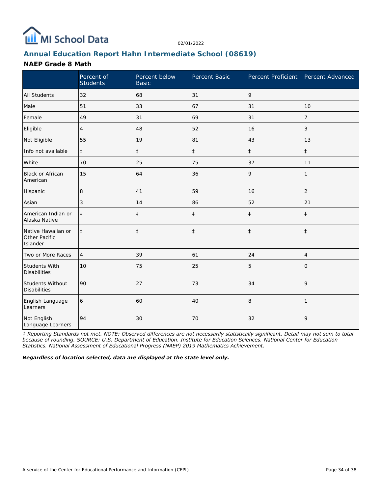

# **Annual Education Report Hahn Intermediate School (08619)**

#### **NAEP Grade 8 Math**

|                                                 | Percent of<br><b>Students</b> | Percent below<br><b>Basic</b> | Percent Basic | Percent Proficient Percent Advanced |                |
|-------------------------------------------------|-------------------------------|-------------------------------|---------------|-------------------------------------|----------------|
| <b>All Students</b>                             | 32                            | 68                            | 31            | 9                                   |                |
| Male                                            | 51                            | 33                            | 67            | 31                                  | 10             |
| Female                                          | 49                            | 31                            | 69            | 31                                  | 7              |
| Eligible                                        | 4                             | 48                            | 52            | 16                                  | 3              |
| Not Eligible                                    | 55                            | 19                            | 81            | 43                                  | 13             |
| Info not available                              | $\ddagger$                    | $\ddagger$                    | $\ddagger$    | $\ddagger$                          | $\ddagger$     |
| White                                           | 70                            | 25                            | 75            | 37                                  | 11             |
| <b>Black or African</b><br>American             | 15                            | 64                            | 36            | 9                                   | 1              |
| Hispanic                                        | 8                             | 41                            | 59            | 16                                  | $\overline{2}$ |
| Asian                                           | 3                             | 14                            | 86            | 52                                  | 21             |
| American Indian or<br>Alaska Native             | $\ddagger$                    | $\ddagger$                    | $\ddagger$    | $\ddagger$                          | $\ddagger$     |
| Native Hawaiian or<br>Other Pacific<br>Islander | $\ddagger$                    | $\ddagger$                    | $\ddagger$    | $\ddagger$                          | $\ddagger$     |
| Two or More Races                               | $\overline{4}$                | 39                            | 61            | 24                                  | 4              |
| Students With<br><b>Disabilities</b>            | 10                            | 75                            | 25            | 5                                   | $\Omega$       |
| Students Without<br><b>Disabilities</b>         | 90                            | 27                            | 73            | 34                                  | 9              |
| English Language<br>Learners                    | 6                             | 60                            | 40            | 8                                   |                |
| Not English<br>Language Learners                | 94                            | 30                            | 70            | 32                                  | 9              |

*‡ Reporting Standards not met. NOTE: Observed differences are not necessarily statistically significant. Detail may not sum to total because of rounding. SOURCE: U.S. Department of Education. Institute for Education Sciences. National Center for Education Statistics. National Assessment of Educational Progress (NAEP) 2019 Mathematics Achievement.*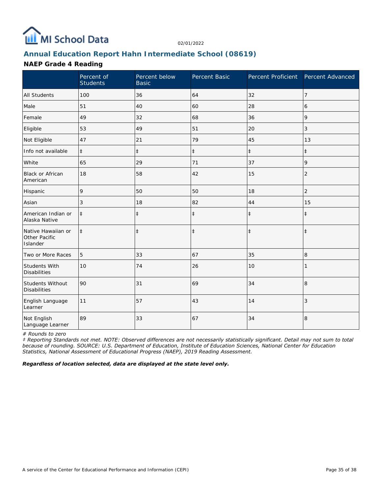

# **Annual Education Report Hahn Intermediate School (08619)**

#### **NAEP Grade 4 Reading**

|                                                 | Percent of<br><b>Students</b> | Percent below<br><b>Basic</b> | Percent Basic | Percent Proficient | Percent Advanced |
|-------------------------------------------------|-------------------------------|-------------------------------|---------------|--------------------|------------------|
| <b>All Students</b>                             | 100                           | 36                            | 64            | 32                 | $\overline{7}$   |
| Male                                            | 51                            | 40                            | 60            | 28                 | 6                |
| Female                                          | 49                            | 32                            | 68            | 36                 | 9                |
| Eligible                                        | 53                            | 49                            | 51            | 20                 | 3                |
| Not Eligible                                    | 47                            | 21                            | 79            | 45                 | 13               |
| Info not available                              | $\ddagger$                    | $\ddagger$                    | $\ddagger$    | $\ddagger$         | $\pm$            |
| White                                           | 65                            | 29                            | 71            | 37                 | 9                |
| <b>Black or African</b><br>American             | 18                            | 58                            | 42            | 15                 | 2                |
| Hispanic                                        | 9                             | 50                            | 50            | 18                 | $\overline{2}$   |
| Asian                                           | 3                             | 18                            | 82            | 44                 | 15               |
| American Indian or<br>Alaska Native             | $\ddagger$                    | $\ddagger$                    | $\ddagger$    | $\ddagger$         | $\ddagger$       |
| Native Hawaiian or<br>Other Pacific<br>Islander | $\ddagger$                    | $\ddagger$                    | $\ddagger$    | $\ddagger$         | $\ddagger$       |
| Two or More Races                               | 5                             | 33                            | 67            | 35                 | 8                |
| Students With<br><b>Disabilities</b>            | 10                            | 74                            | 26            | 10                 |                  |
| Students Without<br><b>Disabilities</b>         | 90                            | 31                            | 69            | 34                 | 8                |
| English Language<br>Learner                     | 11                            | 57                            | 43            | 14                 | 3                |
| Not English<br>Language Learner                 | 89                            | 33                            | 67            | 34                 | 8                |

*# Rounds to zero*

*‡ Reporting Standards not met. NOTE: Observed differences are not necessarily statistically significant. Detail may not sum to total because of rounding. SOURCE: U.S. Department of Education, Institute of Education Sciences, National Center for Education Statistics, National Assessment of Educational Progress (NAEP), 2019 Reading Assessment.*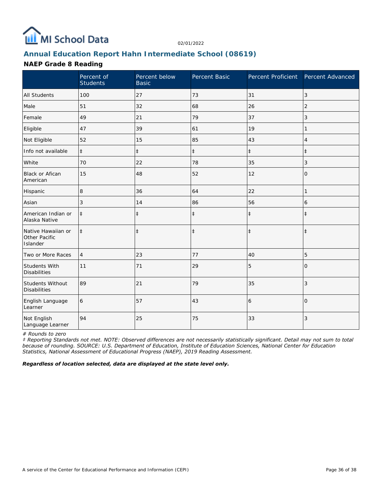

# **Annual Education Report Hahn Intermediate School (08619)**

## **NAEP Grade 8 Reading**

|                                                 | Percent of<br><b>Students</b> | Percent below<br><b>Basic</b> | Percent Basic | Percent Proficient | Percent Advanced |
|-------------------------------------------------|-------------------------------|-------------------------------|---------------|--------------------|------------------|
| <b>All Students</b>                             | 100                           | 27                            | 73            | 31                 | 3                |
| Male                                            | 51                            | 32                            | 68            | 26                 | $\overline{2}$   |
| Female                                          | 49                            | 21                            | 79            | 37                 | 3                |
| Eligible                                        | 47                            | 39                            | 61            | 19                 |                  |
| Not Eligible                                    | 52                            | 15                            | 85            | 43                 | $\overline{4}$   |
| Info not available                              | $\ddagger$                    | $\ddagger$                    | $\ddagger$    | $\ddagger$         | $\pm$            |
| White                                           | 70                            | 22                            | 78            | 35                 | 3                |
| Black or Afican<br>American                     | 15                            | 48                            | 52            | 12                 | 0                |
| Hispanic                                        | 8                             | 36                            | 64            | 22                 | 1                |
| Asian                                           | 3                             | 14                            | 86            | 56                 | 6                |
| American Indian or<br>Alaska Native             | $\ddagger$                    | $\ddagger$                    | $\ddagger$    | $\ddagger$         | $\pm$            |
| Native Hawaiian or<br>Other Pacific<br>Islander | $\ddagger$                    | $\ddagger$                    | $\ddagger$    | $\ddagger$         | $\pm$            |
| Two or More Races                               | $\overline{4}$                | 23                            | 77            | 40                 | 5                |
| Students With<br><b>Disabilities</b>            | 11                            | 71                            | 29            | 5                  | $\Omega$         |
| Students Without<br><b>Disabilities</b>         | 89                            | 21                            | 79            | 35                 | 3                |
| English Language<br>Learner                     | 6                             | 57                            | 43            | 6                  | $\Omega$         |
| Not English<br>Language Learner                 | 94                            | 25                            | 75            | 33                 | 3                |

*# Rounds to zero*

*‡ Reporting Standards not met. NOTE: Observed differences are not necessarily statistically significant. Detail may not sum to total because of rounding. SOURCE: U.S. Department of Education, Institute of Education Sciences, National Center for Education Statistics, National Assessment of Educational Progress (NAEP), 2019 Reading Assessment.*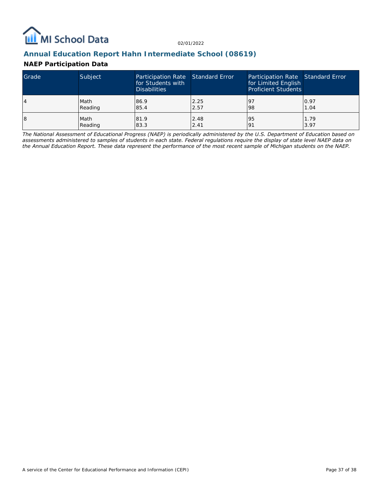

# **Annual Education Report Hahn Intermediate School (08619)**

## **NAEP Participation Data**

| Grade | Subject | Participation Rate Standard Error<br>for Students with<br><b>Disabilities</b> |      | Participation Rate Standard Error<br>for Limited English<br><b>Proficient Students</b> |      |
|-------|---------|-------------------------------------------------------------------------------|------|----------------------------------------------------------------------------------------|------|
| 4     | Math    | 86.9                                                                          | 2.25 | <u>l</u> 9                                                                             | 0.97 |
|       | Reading | 85.4                                                                          | 2.57 | 98                                                                                     | 1.04 |
| 18    | Math    | 81.9                                                                          | 2.48 | 95                                                                                     | 1.79 |
|       | Reading | 83.3                                                                          | 2.41 | 191                                                                                    | 3.97 |

*The National Assessment of Educational Progress (NAEP) is periodically administered by the U.S. Department of Education based on assessments administered to samples of students in each state. Federal regulations require the display of state level NAEP data on the Annual Education Report. These data represent the performance of the most recent sample of Michigan students on the NAEP.*